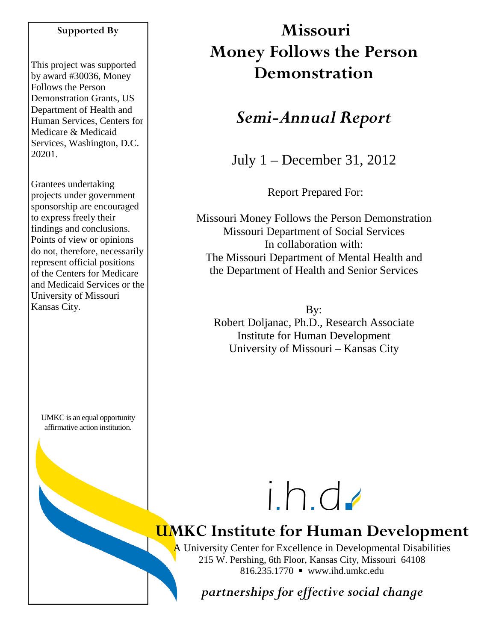#### **Supported By**

This project was supported by award #30036, Money Follows the Person Demonstration Grants, US Department of Health and Human Services, Centers for Medicare & Medicaid Services, Washington, D.C. 20201.

Grantees undertaking projects under government sponsorship are encouraged to express freely their findings and conclusions. Points of view or opinions do not, therefore, necessarily represent official positions of the Centers for Medicare and Medicaid Services or the University of Missouri Kansas City.

UMKC is an equal opportunity affirmative action institution.

# **Missouri Money Follows the Person Demonstration**

## *Semi-Annual Report*

July 1 – December 31, 2012

Report Prepared For:

Missouri Money Follows the Person Demonstration Missouri Department of Social Services In collaboration with: The Missouri Department of Mental Health and the Department of Health and Senior Services

By: Robert Doljanac, Ph.D., Research Associate Institute for Human Development University of Missouri – Kansas City



# **UMKC Institute for Human Development**

A University Center for Excellence in Developmental Disabilities 215 W. Pershing, 6th Floor, Kansas City, Missouri 64108 816.235.1770 www.ihd.umkc.edu

*partnerships for effective social change*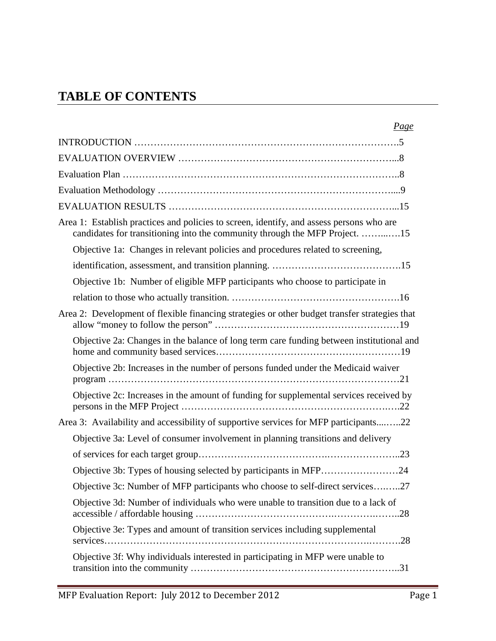## **TABLE OF CONTENTS**

| Page                                                                                                                                                                    |
|-------------------------------------------------------------------------------------------------------------------------------------------------------------------------|
|                                                                                                                                                                         |
|                                                                                                                                                                         |
|                                                                                                                                                                         |
|                                                                                                                                                                         |
|                                                                                                                                                                         |
| Area 1: Establish practices and policies to screen, identify, and assess persons who are<br>candidates for transitioning into the community through the MFP Project. 15 |
| Objective 1a: Changes in relevant policies and procedures related to screening,                                                                                         |
|                                                                                                                                                                         |
| Objective 1b: Number of eligible MFP participants who choose to participate in                                                                                          |
|                                                                                                                                                                         |
| Area 2: Development of flexible financing strategies or other budget transfer strategies that                                                                           |
| Objective 2a: Changes in the balance of long term care funding between institutional and                                                                                |
| Objective 2b: Increases in the number of persons funded under the Medicaid waiver                                                                                       |
| Objective 2c: Increases in the amount of funding for supplemental services received by                                                                                  |
| Area 3: Availability and accessibility of supportive services for MFP participants22                                                                                    |
| Objective 3a: Level of consumer involvement in planning transitions and delivery                                                                                        |
|                                                                                                                                                                         |
|                                                                                                                                                                         |
| Objective 3c: Number of MFP participants who choose to self-direct services27                                                                                           |
| Objective 3d: Number of individuals who were unable to transition due to a lack of                                                                                      |
| Objective 3e: Types and amount of transition services including supplemental                                                                                            |
| Objective 3f: Why individuals interested in participating in MFP were unable to                                                                                         |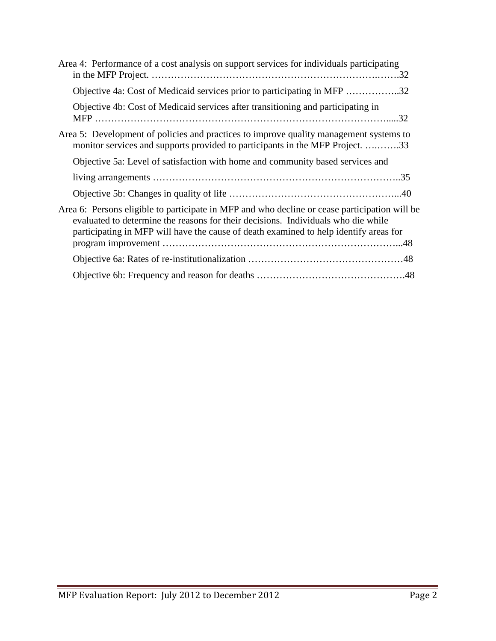| Area 4: Performance of a cost analysis on support services for individuals participating                                                                                                                                                                                    |  |
|-----------------------------------------------------------------------------------------------------------------------------------------------------------------------------------------------------------------------------------------------------------------------------|--|
| Objective 4a: Cost of Medicaid services prior to participating in MFP 32                                                                                                                                                                                                    |  |
| Objective 4b: Cost of Medicaid services after transitioning and participating in                                                                                                                                                                                            |  |
| Area 5: Development of policies and practices to improve quality management systems to<br>monitor services and supports provided to participants in the MFP Project. 33                                                                                                     |  |
| Objective 5a: Level of satisfaction with home and community based services and                                                                                                                                                                                              |  |
|                                                                                                                                                                                                                                                                             |  |
|                                                                                                                                                                                                                                                                             |  |
| Area 6: Persons eligible to participate in MFP and who decline or cease participation will be<br>evaluated to determine the reasons for their decisions. Individuals who die while<br>participating in MFP will have the cause of death examined to help identify areas for |  |
|                                                                                                                                                                                                                                                                             |  |
|                                                                                                                                                                                                                                                                             |  |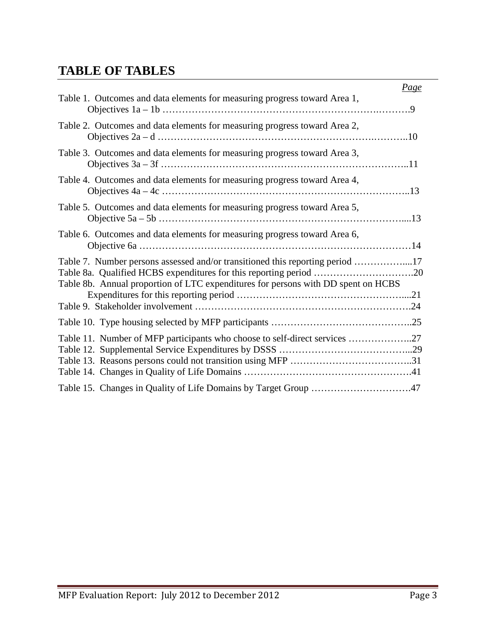## **TABLE OF TABLES**

|                                                                                                                                                                    | <u>Page</u> |
|--------------------------------------------------------------------------------------------------------------------------------------------------------------------|-------------|
| Table 1. Outcomes and data elements for measuring progress toward Area 1,                                                                                          |             |
| Table 2. Outcomes and data elements for measuring progress toward Area 2,                                                                                          |             |
| Table 3. Outcomes and data elements for measuring progress toward Area 3,                                                                                          |             |
| Table 4. Outcomes and data elements for measuring progress toward Area 4,                                                                                          |             |
| Table 5. Outcomes and data elements for measuring progress toward Area 5,                                                                                          |             |
| Table 6. Outcomes and data elements for measuring progress toward Area 6,                                                                                          |             |
| Table 7. Number persons assessed and/or transitioned this reporting period 17<br>Table 8b. Annual proportion of LTC expenditures for persons with DD spent on HCBS |             |
|                                                                                                                                                                    |             |
| Table 11. Number of MFP participants who choose to self-direct services 27                                                                                         |             |
| Table 15. Changes in Quality of Life Domains by Target Group 47                                                                                                    |             |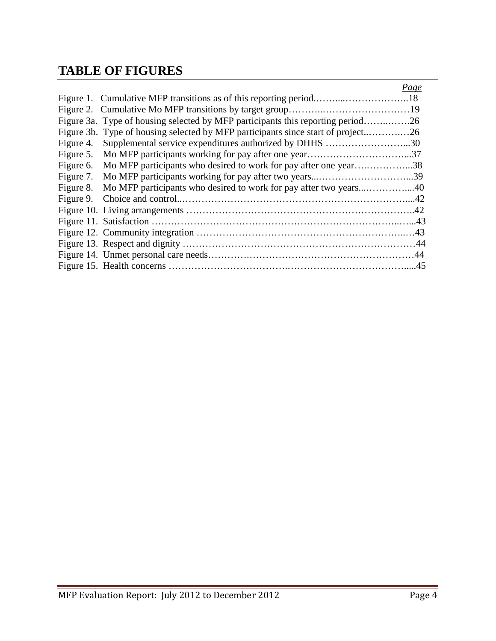## **TABLE OF FIGURES**

|           |                                                                                  | Page |
|-----------|----------------------------------------------------------------------------------|------|
|           |                                                                                  |      |
|           |                                                                                  |      |
|           | Figure 3a. Type of housing selected by MFP participants this reporting period26  |      |
|           | Figure 3b. Type of housing selected by MFP participants since start of project26 |      |
| Figure 4. | Supplemental service expenditures authorized by DHHS 30                          |      |
| Figure 5. |                                                                                  |      |
| Figure 6. | Mo MFP participants who desired to work for pay after one year38                 |      |
| Figure 7. |                                                                                  |      |
| Figure 8. |                                                                                  |      |
| Figure 9. |                                                                                  |      |
|           |                                                                                  |      |
|           |                                                                                  |      |
|           |                                                                                  |      |
|           |                                                                                  |      |
|           |                                                                                  |      |
|           |                                                                                  |      |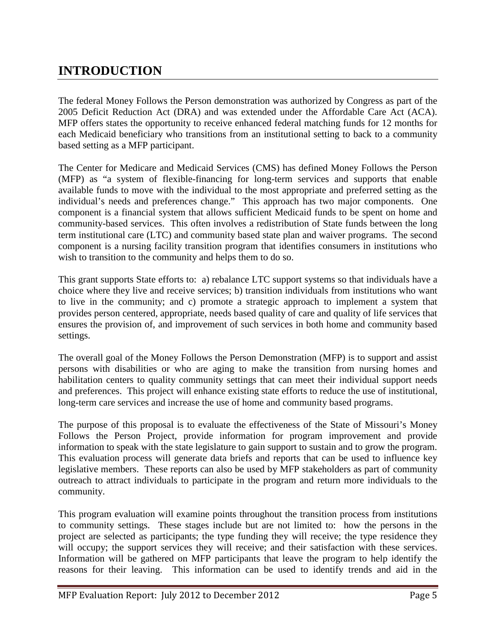## **INTRODUCTION**

The federal Money Follows the Person demonstration was authorized by Congress as part of the 2005 Deficit Reduction Act (DRA) and was extended under the Affordable Care Act (ACA). MFP offers states the opportunity to receive enhanced federal matching funds for 12 months for each Medicaid beneficiary who transitions from an institutional setting to back to a community based setting as a MFP participant.

The Center for Medicare and Medicaid Services (CMS) has defined Money Follows the Person (MFP) as "a system of flexible-financing for long-term services and supports that enable available funds to move with the individual to the most appropriate and preferred setting as the individual's needs and preferences change." This approach has two major components. One component is a financial system that allows sufficient Medicaid funds to be spent on home and community-based services. This often involves a redistribution of State funds between the long term institutional care (LTC) and community based state plan and waiver programs. The second component is a nursing facility transition program that identifies consumers in institutions who wish to transition to the community and helps them to do so.

This grant supports State efforts to: a) rebalance LTC support systems so that individuals have a choice where they live and receive services; b) transition individuals from institutions who want to live in the community; and c) promote a strategic approach to implement a system that provides person centered, appropriate, needs based quality of care and quality of life services that ensures the provision of, and improvement of such services in both home and community based settings.

The overall goal of the Money Follows the Person Demonstration (MFP) is to support and assist persons with disabilities or who are aging to make the transition from nursing homes and habilitation centers to quality community settings that can meet their individual support needs and preferences. This project will enhance existing state efforts to reduce the use of institutional, long-term care services and increase the use of home and community based programs.

The purpose of this proposal is to evaluate the effectiveness of the State of Missouri's Money Follows the Person Project, provide information for program improvement and provide information to speak with the state legislature to gain support to sustain and to grow the program. This evaluation process will generate data briefs and reports that can be used to influence key legislative members. These reports can also be used by MFP stakeholders as part of community outreach to attract individuals to participate in the program and return more individuals to the community.

This program evaluation will examine points throughout the transition process from institutions to community settings. These stages include but are not limited to: how the persons in the project are selected as participants; the type funding they will receive; the type residence they will occupy; the support services they will receive; and their satisfaction with these services. Information will be gathered on MFP participants that leave the program to help identify the reasons for their leaving. This information can be used to identify trends and aid in the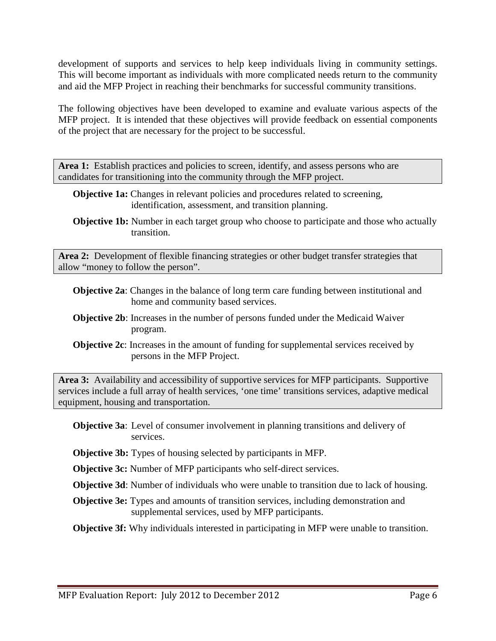development of supports and services to help keep individuals living in community settings. This will become important as individuals with more complicated needs return to the community and aid the MFP Project in reaching their benchmarks for successful community transitions.

The following objectives have been developed to examine and evaluate various aspects of the MFP project. It is intended that these objectives will provide feedback on essential components of the project that are necessary for the project to be successful.

Area 1: Establish practices and policies to screen, identify, and assess persons who are candidates for transitioning into the community through the MFP project.

- **Objective 1a:** Changes in relevant policies and procedures related to screening, identification, assessment, and transition planning.
- **Objective 1b:** Number in each target group who choose to participate and those who actually transition.

**Area 2:** Development of flexible financing strategies or other budget transfer strategies that allow "money to follow the person".

- **Objective 2a**: Changes in the balance of long term care funding between institutional and home and community based services.
- **Objective 2b**: Increases in the number of persons funded under the Medicaid Waiver program.
- **Objective 2c**: Increases in the amount of funding for supplemental services received by persons in the MFP Project.

**Area 3:** Availability and accessibility of supportive services for MFP participants. Supportive services include a full array of health services, 'one time' transitions services, adaptive medical equipment, housing and transportation.

**Objective 3a**: Level of consumer involvement in planning transitions and delivery of services.

**Objective 3b:** Types of housing selected by participants in MFP.

**Objective 3c:** Number of MFP participants who self-direct services.

**Objective 3d**: Number of individuals who were unable to transition due to lack of housing.

**Objective 3e:** Types and amounts of transition services, including demonstration and supplemental services, used by MFP participants.

**Objective 3f:** Why individuals interested in participating in MFP were unable to transition.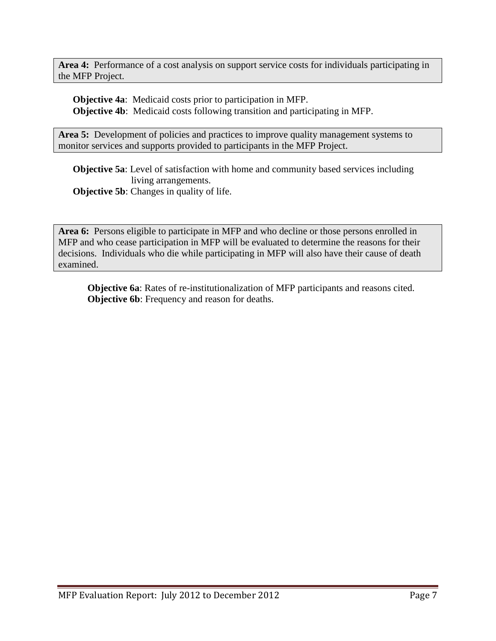**Area 4:** Performance of a cost analysis on support service costs for individuals participating in the MFP Project.

**Objective 4a**: Medicaid costs prior to participation in MFP. **Objective 4b**: Medicaid costs following transition and participating in MFP.

Area 5: Development of policies and practices to improve quality management systems to monitor services and supports provided to participants in the MFP Project.

**Objective 5a**: Level of satisfaction with home and community based services including living arrangements. **Objective 5b:** Changes in quality of life.

**Area 6:** Persons eligible to participate in MFP and who decline or those persons enrolled in MFP and who cease participation in MFP will be evaluated to determine the reasons for their decisions. Individuals who die while participating in MFP will also have their cause of death examined.

**Objective 6a**: Rates of re-institutionalization of MFP participants and reasons cited. **Objective 6b**: Frequency and reason for deaths.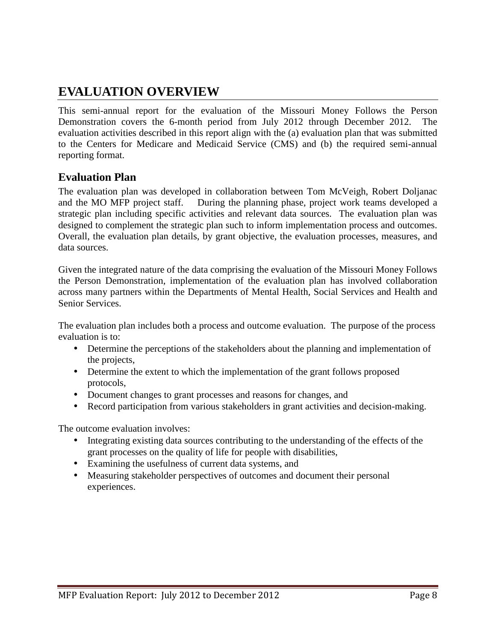## **EVALUATION OVERVIEW**

This semi-annual report for the evaluation of the Missouri Money Follows the Person Demonstration covers the 6-month period from July 2012 through December 2012. The evaluation activities described in this report align with the (a) evaluation plan that was submitted to the Centers for Medicare and Medicaid Service (CMS) and (b) the required semi-annual reporting format.

#### **Evaluation Plan**

The evaluation plan was developed in collaboration between Tom McVeigh, Robert Doljanac and the MO MFP project staff. During the planning phase, project work teams developed a strategic plan including specific activities and relevant data sources. The evaluation plan was designed to complement the strategic plan such to inform implementation process and outcomes. Overall, the evaluation plan details, by grant objective, the evaluation processes, measures, and data sources.

Given the integrated nature of the data comprising the evaluation of the Missouri Money Follows the Person Demonstration, implementation of the evaluation plan has involved collaboration across many partners within the Departments of Mental Health, Social Services and Health and Senior Services.

The evaluation plan includes both a process and outcome evaluation. The purpose of the process evaluation is to:

- Determine the perceptions of the stakeholders about the planning and implementation of the projects,
- Determine the extent to which the implementation of the grant follows proposed protocols,
- Document changes to grant processes and reasons for changes, and
- Record participation from various stakeholders in grant activities and decision-making.

The outcome evaluation involves:

- Integrating existing data sources contributing to the understanding of the effects of the grant processes on the quality of life for people with disabilities,
- Examining the usefulness of current data systems, and
- Measuring stakeholder perspectives of outcomes and document their personal experiences.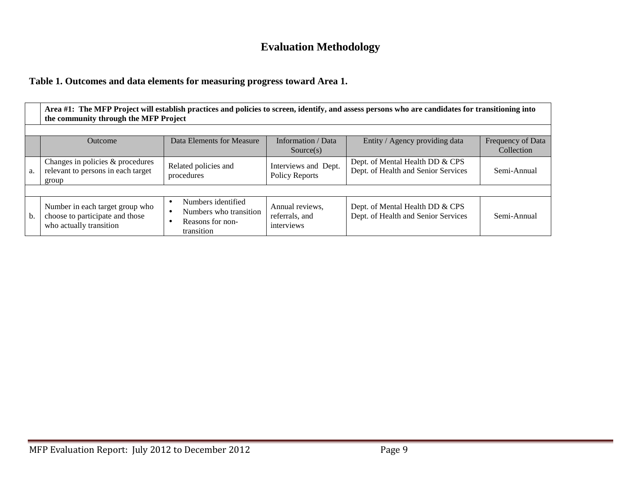### **Evaluation Methodology**

#### **Table 1. Outcomes and data elements for measuring progress toward Area 1.**

|    | Area #1: The MFP Project will establish practices and policies to screen, identify, and assess persons who are candidates for transitioning into<br>the community through the MFP Project |                                                                                |                                                 |                                                                        |             |  |  |
|----|-------------------------------------------------------------------------------------------------------------------------------------------------------------------------------------------|--------------------------------------------------------------------------------|-------------------------------------------------|------------------------------------------------------------------------|-------------|--|--|
|    | Data Elements for Measure<br>Information / Data<br>Entity / Agency providing data<br>Frequency of Data<br><b>Outcome</b><br>Collection<br>Source(s)                                       |                                                                                |                                                 |                                                                        |             |  |  |
| a. | Changes in policies & procedures<br>relevant to persons in each target<br>group                                                                                                           | Related policies and<br>procedures                                             | Interviews and Dept.<br>Policy Reports          | Dept. of Mental Health DD & CPS<br>Dept. of Health and Senior Services | Semi-Annual |  |  |
|    |                                                                                                                                                                                           |                                                                                |                                                 |                                                                        |             |  |  |
| b. | Number in each target group who<br>choose to participate and those<br>who actually transition                                                                                             | Numbers identified<br>Numbers who transition<br>Reasons for non-<br>transition | Annual reviews,<br>referrals, and<br>interviews | Dept. of Mental Health DD & CPS<br>Dept. of Health and Senior Services | Semi-Annual |  |  |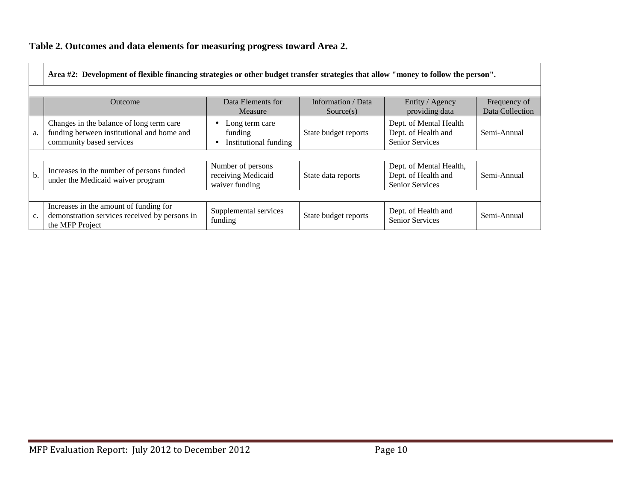#### **Table 2. Outcomes and data elements for measuring progress toward Area 2.**

|               | Area #2: Development of flexible financing strategies or other budget transfer strategies that allow "money to follow the person".                        |                                                           |                      |                                                                          |             |  |  |  |
|---------------|-----------------------------------------------------------------------------------------------------------------------------------------------------------|-----------------------------------------------------------|----------------------|--------------------------------------------------------------------------|-------------|--|--|--|
|               | Data Elements for<br>Information / Data<br>Entity / Agency<br>Frequency of<br><b>Outcome</b><br>Data Collection<br>providing data<br>Measure<br>Source(s) |                                                           |                      |                                                                          |             |  |  |  |
| a.            | Changes in the balance of long term care<br>funding between institutional and home and<br>community based services                                        | Long term care<br>funding<br>Institutional funding        | State budget reports | Dept. of Mental Health<br>Dept. of Health and<br><b>Senior Services</b>  | Semi-Annual |  |  |  |
|               |                                                                                                                                                           |                                                           |                      |                                                                          |             |  |  |  |
| $\mathbf b$ . | Increases in the number of persons funded<br>under the Medicaid waiver program                                                                            | Number of persons<br>receiving Medicaid<br>waiver funding | State data reports   | Dept. of Mental Health,<br>Dept. of Health and<br><b>Senior Services</b> | Semi-Annual |  |  |  |
|               |                                                                                                                                                           |                                                           |                      |                                                                          |             |  |  |  |
| c.            | Increases in the amount of funding for<br>demonstration services received by persons in<br>the MFP Project                                                | Supplemental services<br>funding                          | State budget reports | Dept. of Health and<br><b>Senior Services</b>                            | Semi-Annual |  |  |  |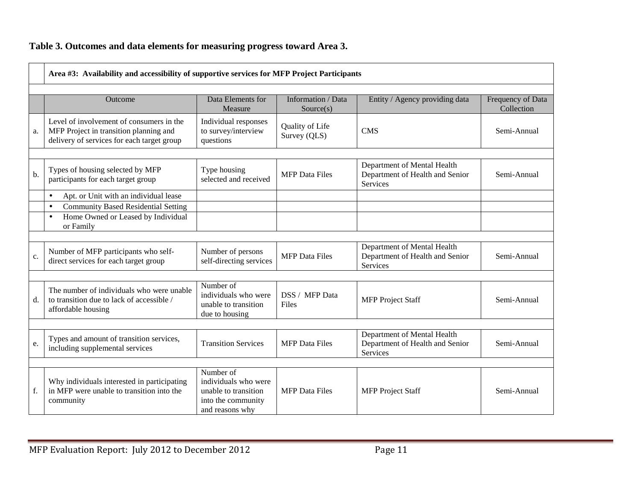#### **Table 3. Outcomes and data elements for measuring progress toward Area 3.**

|    | Area #3: Availability and accessibility of supportive services for MFP Project Participants                                      |                                                                                                    |                                 |                                                                                   |                                 |  |  |
|----|----------------------------------------------------------------------------------------------------------------------------------|----------------------------------------------------------------------------------------------------|---------------------------------|-----------------------------------------------------------------------------------|---------------------------------|--|--|
|    | Outcome                                                                                                                          | Data Elements for<br>Measure                                                                       | Information / Data<br>Source(s) | Entity / Agency providing data                                                    | Frequency of Data<br>Collection |  |  |
| a. | Level of involvement of consumers in the<br>MFP Project in transition planning and<br>delivery of services for each target group | Individual responses<br>to survey/interview<br>questions                                           | Quality of Life<br>Survey (QLS) | <b>CMS</b>                                                                        | Semi-Annual                     |  |  |
|    |                                                                                                                                  |                                                                                                    |                                 |                                                                                   |                                 |  |  |
| b. | Types of housing selected by MFP<br>participants for each target group                                                           | Type housing<br>selected and received                                                              | <b>MFP</b> Data Files           | Department of Mental Health<br>Department of Health and Senior<br><b>Services</b> | Semi-Annual                     |  |  |
|    | Apt. or Unit with an individual lease<br>$\bullet$                                                                               |                                                                                                    |                                 |                                                                                   |                                 |  |  |
|    | <b>Community Based Residential Setting</b><br>$\bullet$                                                                          |                                                                                                    |                                 |                                                                                   |                                 |  |  |
|    | Home Owned or Leased by Individual<br>$\bullet$<br>or Family                                                                     |                                                                                                    |                                 |                                                                                   |                                 |  |  |
|    |                                                                                                                                  |                                                                                                    |                                 |                                                                                   |                                 |  |  |
| c. | Number of MFP participants who self-<br>direct services for each target group                                                    | Number of persons<br>self-directing services                                                       | <b>MFP</b> Data Files           | Department of Mental Health<br>Department of Health and Senior<br><b>Services</b> | Semi-Annual                     |  |  |
|    |                                                                                                                                  |                                                                                                    |                                 |                                                                                   |                                 |  |  |
| d. | The number of individuals who were unable<br>to transition due to lack of accessible /<br>affordable housing                     | Number of<br>individuals who were<br>unable to transition<br>due to housing                        | DSS / MFP Data<br>Files         | <b>MFP</b> Project Staff                                                          | Semi-Annual                     |  |  |
|    |                                                                                                                                  |                                                                                                    |                                 |                                                                                   |                                 |  |  |
| e. | Types and amount of transition services,<br>including supplemental services                                                      | <b>Transition Services</b>                                                                         | <b>MFP</b> Data Files           | Department of Mental Health<br>Department of Health and Senior<br>Services        | Semi-Annual                     |  |  |
|    |                                                                                                                                  |                                                                                                    |                                 |                                                                                   |                                 |  |  |
| f. | Why individuals interested in participating<br>in MFP were unable to transition into the<br>community                            | Number of<br>individuals who were<br>unable to transition<br>into the community<br>and reasons why | <b>MFP</b> Data Files           | <b>MFP</b> Project Staff                                                          | Semi-Annual                     |  |  |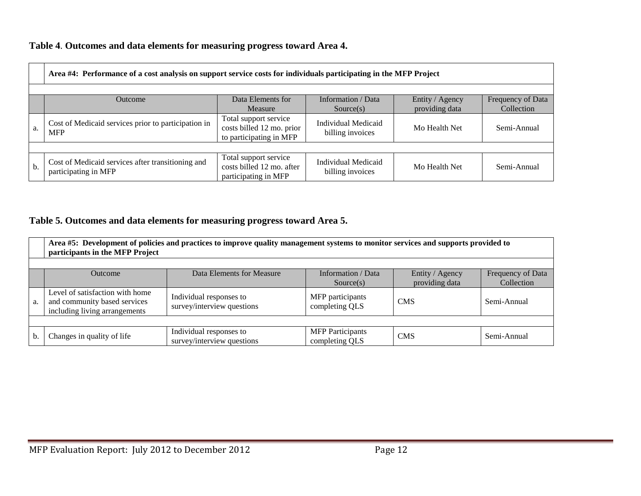#### **Table 4**. **Outcomes and data elements for measuring progress toward Area 4.**

|     | Area #4: Performance of a cost analysis on support service costs for individuals participating in the MFP Project |                                                                               |                                                |                                   |                                 |  |  |  |
|-----|-------------------------------------------------------------------------------------------------------------------|-------------------------------------------------------------------------------|------------------------------------------------|-----------------------------------|---------------------------------|--|--|--|
|     |                                                                                                                   |                                                                               |                                                |                                   |                                 |  |  |  |
|     | Outcome                                                                                                           | Data Elements for<br>Measure                                                  | Information / Data<br>Source(s)                | Entity / Agency<br>providing data | Frequency of Data<br>Collection |  |  |  |
| a.  | Cost of Medicaid services prior to participation in<br><b>MFP</b>                                                 | Total support service<br>costs billed 12 mo. prior<br>to participating in MFP | <b>Individual Medicaid</b><br>billing invoices | Mo Health Net                     | Semi-Annual                     |  |  |  |
|     |                                                                                                                   |                                                                               |                                                |                                   |                                 |  |  |  |
| $b$ | Cost of Medicaid services after transitioning and<br>participating in MFP                                         | Total support service<br>costs billed 12 mo. after<br>participating in MFP    | Individual Medicaid<br>billing invoices        | Mo Health Net                     | Semi-Annual                     |  |  |  |

#### **Table 5. Outcomes and data elements for measuring progress toward Area 5.**

|    | Area #5: Development of policies and practices to improve quality management systems to monitor services and supports provided to<br>participants in the MFP Project |                                                       |                                           |            |             |  |  |
|----|----------------------------------------------------------------------------------------------------------------------------------------------------------------------|-------------------------------------------------------|-------------------------------------------|------------|-------------|--|--|
|    | Entity / Agency<br>Data Elements for Measure<br>Information / Data<br>Frequency of Data<br><b>Outcome</b><br>providing data<br>Collection<br>Source(s)               |                                                       |                                           |            |             |  |  |
| a. | Level of satisfaction with home<br>and community based services<br>including living arrangements                                                                     | Individual responses to<br>survey/interview questions | MFP participants<br>completing QLS        | <b>CMS</b> | Semi-Annual |  |  |
|    |                                                                                                                                                                      |                                                       |                                           |            |             |  |  |
| b. | Changes in quality of life                                                                                                                                           | Individual responses to<br>survey/interview questions | <b>MFP</b> Participants<br>completing QLS | <b>CMS</b> | Semi-Annual |  |  |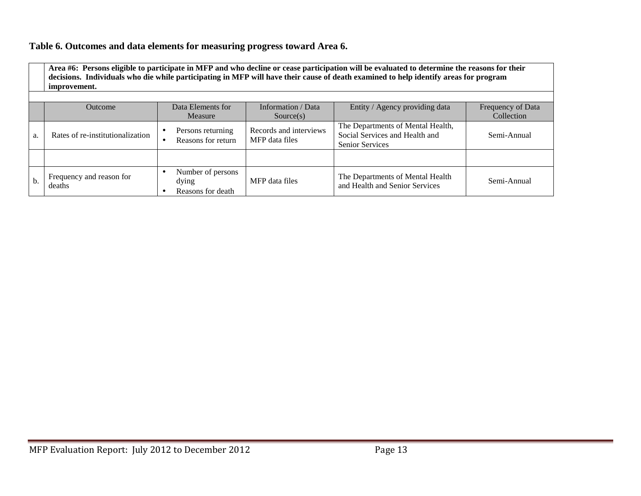#### **Table 6. Outcomes and data elements for measuring progress toward Area 6.**

**Area #6: Persons eligible to participate in MFP and who decline or cease participation will be evaluated to determine the reasons for their decisions. Individuals who die while participating in MFP will have their cause of death examined to help identify areas for program improvement.** 

|    | Outcome                            | Data Elements for                                                 | Information / Data                       | Entity / Agency providing data                                                                | Frequency of Data |
|----|------------------------------------|-------------------------------------------------------------------|------------------------------------------|-----------------------------------------------------------------------------------------------|-------------------|
|    |                                    | Measure                                                           | Source(s)                                |                                                                                               | Collection        |
| a. | Rates of re-institutionalization   | Persons returning<br>$\bullet$<br>Reasons for return<br>$\bullet$ | Records and interviews<br>MFP data files | The Departments of Mental Health,<br>Social Services and Health and<br><b>Senior Services</b> | Semi-Annual       |
|    |                                    |                                                                   |                                          |                                                                                               |                   |
| b. | Frequency and reason for<br>deaths | Number of persons<br>$\bullet$<br>dying<br>Reasons for death      | MFP data files                           | The Departments of Mental Health<br>and Health and Senior Services                            | Semi-Annual       |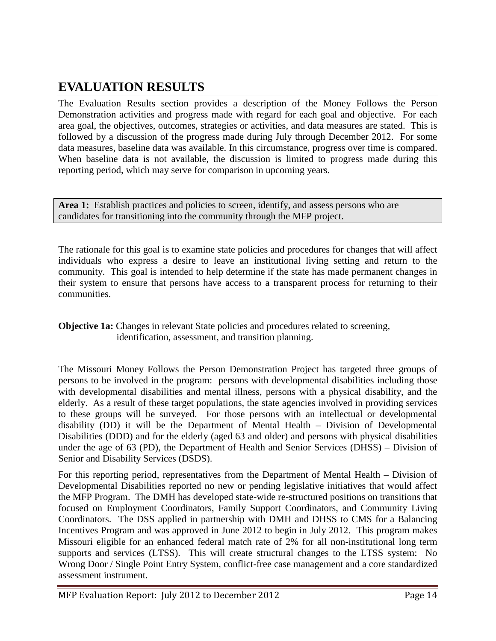## **EVALUATION RESULTS**

The Evaluation Results section provides a description of the Money Follows the Person Demonstration activities and progress made with regard for each goal and objective. For each area goal, the objectives, outcomes, strategies or activities, and data measures are stated. This is followed by a discussion of the progress made during July through December 2012. For some data measures, baseline data was available. In this circumstance, progress over time is compared. When baseline data is not available, the discussion is limited to progress made during this reporting period, which may serve for comparison in upcoming years.

Area 1: Establish practices and policies to screen, identify, and assess persons who are candidates for transitioning into the community through the MFP project.

The rationale for this goal is to examine state policies and procedures for changes that will affect individuals who express a desire to leave an institutional living setting and return to the community. This goal is intended to help determine if the state has made permanent changes in their system to ensure that persons have access to a transparent process for returning to their communities.

**Objective 1a:** Changes in relevant State policies and procedures related to screening, identification, assessment, and transition planning.

The Missouri Money Follows the Person Demonstration Project has targeted three groups of persons to be involved in the program: persons with developmental disabilities including those with developmental disabilities and mental illness, persons with a physical disability, and the elderly. As a result of these target populations, the state agencies involved in providing services to these groups will be surveyed. For those persons with an intellectual or developmental disability (DD) it will be the Department of Mental Health – Division of Developmental Disabilities (DDD) and for the elderly (aged 63 and older) and persons with physical disabilities under the age of 63 (PD), the Department of Health and Senior Services (DHSS) – Division of Senior and Disability Services (DSDS).

For this reporting period, representatives from the Department of Mental Health – Division of Developmental Disabilities reported no new or pending legislative initiatives that would affect the MFP Program. The DMH has developed state-wide re-structured positions on transitions that focused on Employment Coordinators, Family Support Coordinators, and Community Living Coordinators. The DSS applied in partnership with DMH and DHSS to CMS for a Balancing Incentives Program and was approved in June 2012 to begin in July 2012. This program makes Missouri eligible for an enhanced federal match rate of 2% for all non-institutional long term supports and services (LTSS). This will create structural changes to the LTSS system: No Wrong Door / Single Point Entry System, conflict-free case management and a core standardized assessment instrument.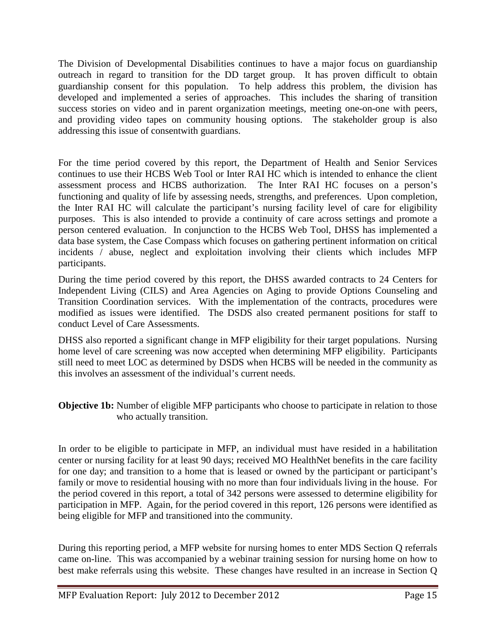The Division of Developmental Disabilities continues to have a major focus on guardianship outreach in regard to transition for the DD target group. It has proven difficult to obtain guardianship consent for this population. To help address this problem, the division has developed and implemented a series of approaches. This includes the sharing of transition success stories on video and in parent organization meetings, meeting one-on-one with peers, and providing video tapes on community housing options. The stakeholder group is also addressing this issue of consentwith guardians.

For the time period covered by this report, the Department of Health and Senior Services continues to use their HCBS Web Tool or Inter RAI HC which is intended to enhance the client assessment process and HCBS authorization. The Inter RAI HC focuses on a person's functioning and quality of life by assessing needs, strengths, and preferences. Upon completion, the Inter RAI HC will calculate the participant's nursing facility level of care for eligibility purposes. This is also intended to provide a continuity of care across settings and promote a person centered evaluation. In conjunction to the HCBS Web Tool, DHSS has implemented a data base system, the Case Compass which focuses on gathering pertinent information on critical incidents / abuse, neglect and exploitation involving their clients which includes MFP participants.

During the time period covered by this report, the DHSS awarded contracts to 24 Centers for Independent Living (CILS) and Area Agencies on Aging to provide Options Counseling and Transition Coordination services. With the implementation of the contracts, procedures were modified as issues were identified. The DSDS also created permanent positions for staff to conduct Level of Care Assessments.

DHSS also reported a significant change in MFP eligibility for their target populations. Nursing home level of care screening was now accepted when determining MFP eligibility. Participants still need to meet LOC as determined by DSDS when HCBS will be needed in the community as this involves an assessment of the individual's current needs.

#### **Objective 1b:** Number of eligible MFP participants who choose to participate in relation to those who actually transition.

In order to be eligible to participate in MFP, an individual must have resided in a habilitation center or nursing facility for at least 90 days; received MO HealthNet benefits in the care facility for one day; and transition to a home that is leased or owned by the participant or participant's family or move to residential housing with no more than four individuals living in the house. For the period covered in this report, a total of 342 persons were assessed to determine eligibility for participation in MFP. Again, for the period covered in this report, 126 persons were identified as being eligible for MFP and transitioned into the community.

During this reporting period, a MFP website for nursing homes to enter MDS Section Q referrals came on-line. This was accompanied by a webinar training session for nursing home on how to best make referrals using this website. These changes have resulted in an increase in Section Q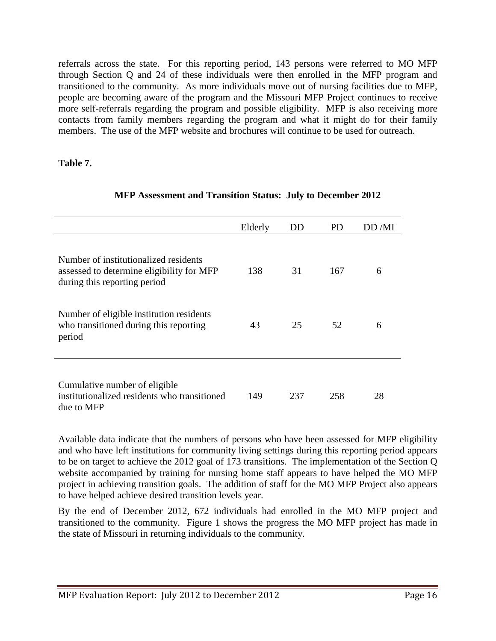referrals across the state. For this reporting period, 143 persons were referred to MO MFP through Section Q and 24 of these individuals were then enrolled in the MFP program and transitioned to the community. As more individuals move out of nursing facilities due to MFP, people are becoming aware of the program and the Missouri MFP Project continues to receive more self-referrals regarding the program and possible eligibility. MFP is also receiving more contacts from family members regarding the program and what it might do for their family members. The use of the MFP website and brochures will continue to be used for outreach.

#### **Table 7.**

|                                                                                                                    | Elderly | DD  | <b>PD</b> | DD/MI |
|--------------------------------------------------------------------------------------------------------------------|---------|-----|-----------|-------|
| Number of institutionalized residents<br>assessed to determine eligibility for MFP<br>during this reporting period | 138     | 31  | 167       | 6     |
| Number of eligible institution residents<br>who transitioned during this reporting<br>period                       | 43      | 25  | 52        | 6     |
| Cumulative number of eligible<br>institutionalized residents who transitioned<br>due to MFP                        | 149     | 237 | 258       | 28    |

#### **MFP Assessment and Transition Status: July to December 2012**

Available data indicate that the numbers of persons who have been assessed for MFP eligibility and who have left institutions for community living settings during this reporting period appears to be on target to achieve the 2012 goal of 173 transitions. The implementation of the Section Q website accompanied by training for nursing home staff appears to have helped the MO MFP project in achieving transition goals. The addition of staff for the MO MFP Project also appears to have helped achieve desired transition levels year.

By the end of December 2012, 672 individuals had enrolled in the MO MFP project and transitioned to the community. Figure 1 shows the progress the MO MFP project has made in the state of Missouri in returning individuals to the community.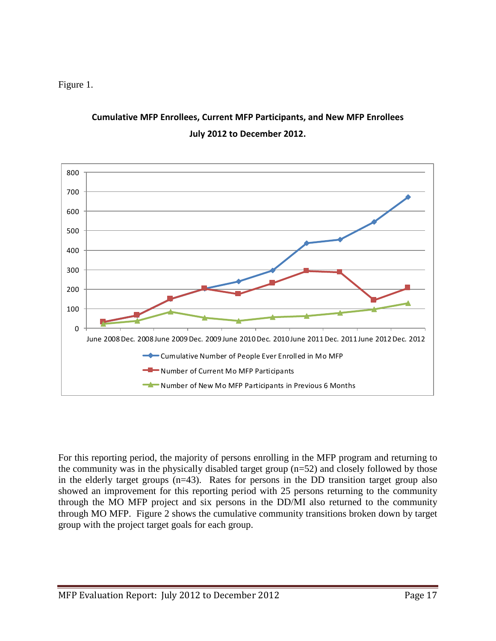Figure 1.



### **Cumulative MFP Enrollees, Current MFP Participants, and New MFP Enrollees July 2012 to December 2012.**

For this reporting period, the majority of persons enrolling in the MFP program and returning to the community was in the physically disabled target group (n=52) and closely followed by those in the elderly target groups (n=43). Rates for persons in the DD transition target group also showed an improvement for this reporting period with 25 persons returning to the community through the MO MFP project and six persons in the DD/MI also returned to the community through MO MFP. Figure 2 shows the cumulative community transitions broken down by target group with the project target goals for each group.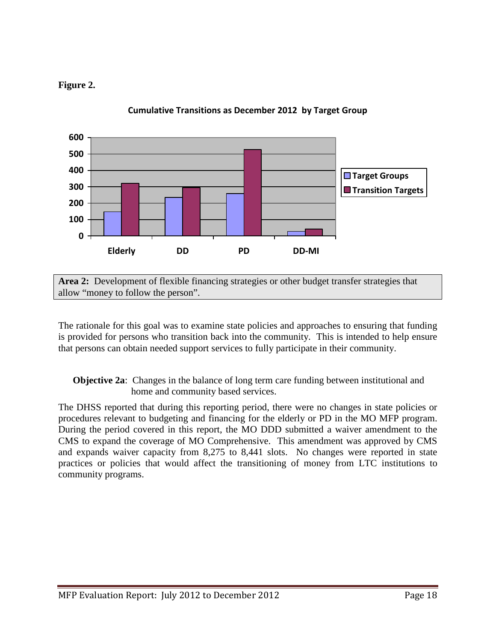#### **Figure 2.**



**Cumulative Transitions as December 2012 by Target Group**

**Area 2:** Development of flexible financing strategies or other budget transfer strategies that allow "money to follow the person".

The rationale for this goal was to examine state policies and approaches to ensuring that funding is provided for persons who transition back into the community. This is intended to help ensure that persons can obtain needed support services to fully participate in their community.

**Objective 2a**: Changes in the balance of long term care funding between institutional and home and community based services.

The DHSS reported that during this reporting period, there were no changes in state policies or procedures relevant to budgeting and financing for the elderly or PD in the MO MFP program. During the period covered in this report, the MO DDD submitted a waiver amendment to the CMS to expand the coverage of MO Comprehensive. This amendment was approved by CMS and expands waiver capacity from 8,275 to 8,441 slots. No changes were reported in state practices or policies that would affect the transitioning of money from LTC institutions to community programs.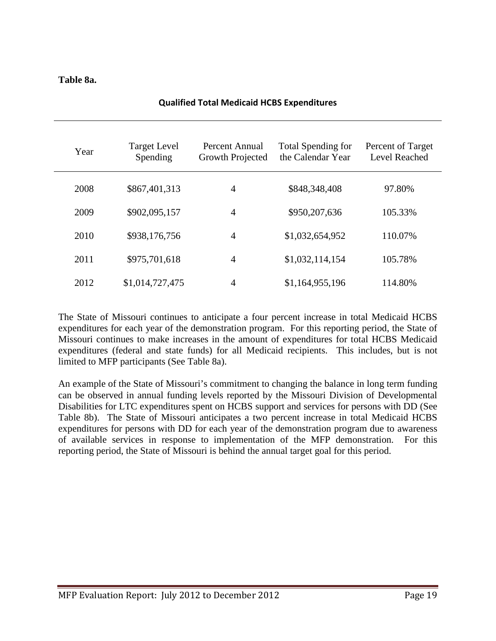#### **Table 8a.**

| Year | <b>Target Level</b><br>Spending | Percent Annual<br>Growth Projected | Total Spending for<br>the Calendar Year | Percent of Target<br>Level Reached |
|------|---------------------------------|------------------------------------|-----------------------------------------|------------------------------------|
| 2008 | \$867,401,313                   | $\overline{4}$                     | \$848,348,408                           | 97.80%                             |
| 2009 | \$902,095,157                   | $\overline{4}$                     | \$950,207,636                           | 105.33%                            |
| 2010 | \$938,176,756                   | $\overline{4}$                     | \$1,032,654,952                         | 110.07%                            |
| 2011 | \$975,701,618                   | $\overline{4}$                     | \$1,032,114,154                         | 105.78%                            |
| 2012 | \$1,014,727,475                 | 4                                  | \$1,164,955,196                         | 114.80%                            |

#### **Qualified Total Medicaid HCBS Expenditures**

The State of Missouri continues to anticipate a four percent increase in total Medicaid HCBS expenditures for each year of the demonstration program. For this reporting period, the State of Missouri continues to make increases in the amount of expenditures for total HCBS Medicaid expenditures (federal and state funds) for all Medicaid recipients. This includes, but is not limited to MFP participants (See Table 8a).

An example of the State of Missouri's commitment to changing the balance in long term funding can be observed in annual funding levels reported by the Missouri Division of Developmental Disabilities for LTC expenditures spent on HCBS support and services for persons with DD (See Table 8b). The State of Missouri anticipates a two percent increase in total Medicaid HCBS expenditures for persons with DD for each year of the demonstration program due to awareness of available services in response to implementation of the MFP demonstration. For this reporting period, the State of Missouri is behind the annual target goal for this period.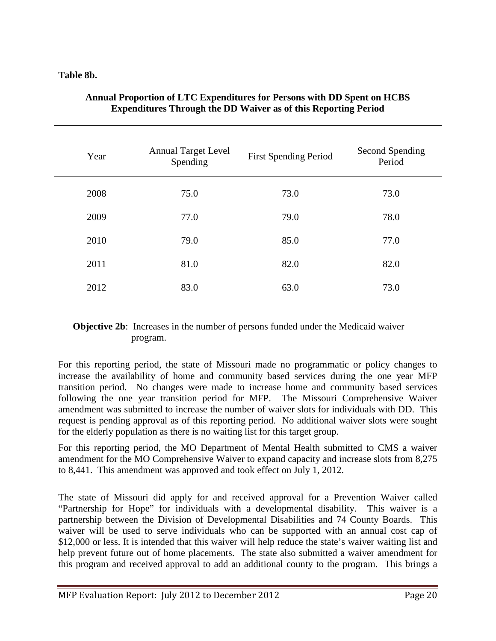#### **Table 8b.**

| Year | <b>Annual Target Level</b><br>Spending | <b>First Spending Period</b> | Second Spending<br>Period |
|------|----------------------------------------|------------------------------|---------------------------|
| 2008 | 75.0                                   | 73.0                         | 73.0                      |
| 2009 | 77.0                                   | 79.0                         | 78.0                      |
| 2010 | 79.0                                   | 85.0                         | 77.0                      |
| 2011 | 81.0                                   | 82.0                         | 82.0                      |
| 2012 | 83.0                                   | 63.0                         | 73.0                      |

#### **Annual Proportion of LTC Expenditures for Persons with DD Spent on HCBS Expenditures Through the DD Waiver as of this Reporting Period**

#### **Objective 2b**: Increases in the number of persons funded under the Medicaid waiver program.

For this reporting period, the state of Missouri made no programmatic or policy changes to increase the availability of home and community based services during the one year MFP transition period. No changes were made to increase home and community based services following the one year transition period for MFP. The Missouri Comprehensive Waiver amendment was submitted to increase the number of waiver slots for individuals with DD. This request is pending approval as of this reporting period. No additional waiver slots were sought for the elderly population as there is no waiting list for this target group.

For this reporting period, the MO Department of Mental Health submitted to CMS a waiver amendment for the MO Comprehensive Waiver to expand capacity and increase slots from 8,275 to 8,441. This amendment was approved and took effect on July 1, 2012.

The state of Missouri did apply for and received approval for a Prevention Waiver called "Partnership for Hope" for individuals with a developmental disability. This waiver is a partnership between the Division of Developmental Disabilities and 74 County Boards. This waiver will be used to serve individuals who can be supported with an annual cost cap of \$12,000 or less. It is intended that this waiver will help reduce the state's waiver waiting list and help prevent future out of home placements. The state also submitted a waiver amendment for this program and received approval to add an additional county to the program. This brings a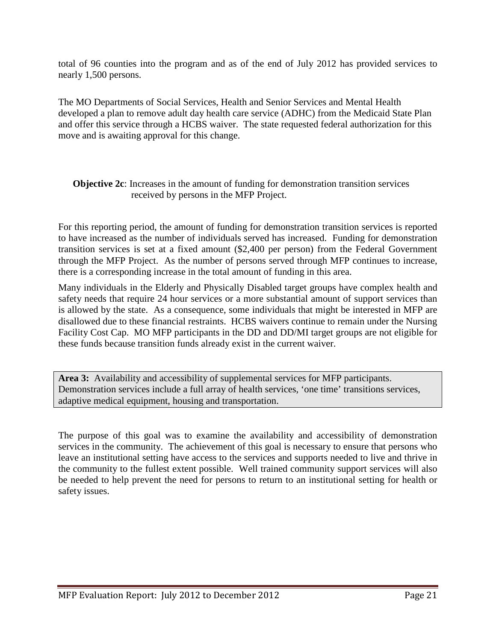total of 96 counties into the program and as of the end of July 2012 has provided services to nearly 1,500 persons.

The MO Departments of Social Services, Health and Senior Services and Mental Health developed a plan to remove adult day health care service (ADHC) from the Medicaid State Plan and offer this service through a HCBS waiver. The state requested federal authorization for this move and is awaiting approval for this change.

#### **Objective 2c**: Increases in the amount of funding for demonstration transition services received by persons in the MFP Project.

For this reporting period, the amount of funding for demonstration transition services is reported to have increased as the number of individuals served has increased. Funding for demonstration transition services is set at a fixed amount (\$2,400 per person) from the Federal Government through the MFP Project. As the number of persons served through MFP continues to increase, there is a corresponding increase in the total amount of funding in this area.

Many individuals in the Elderly and Physically Disabled target groups have complex health and safety needs that require 24 hour services or a more substantial amount of support services than is allowed by the state. As a consequence, some individuals that might be interested in MFP are disallowed due to these financial restraints. HCBS waivers continue to remain under the Nursing Facility Cost Cap. MO MFP participants in the DD and DD/MI target groups are not eligible for these funds because transition funds already exist in the current waiver.

**Area 3:** Availability and accessibility of supplemental services for MFP participants. Demonstration services include a full array of health services, 'one time' transitions services, adaptive medical equipment, housing and transportation.

The purpose of this goal was to examine the availability and accessibility of demonstration services in the community. The achievement of this goal is necessary to ensure that persons who leave an institutional setting have access to the services and supports needed to live and thrive in the community to the fullest extent possible. Well trained community support services will also be needed to help prevent the need for persons to return to an institutional setting for health or safety issues.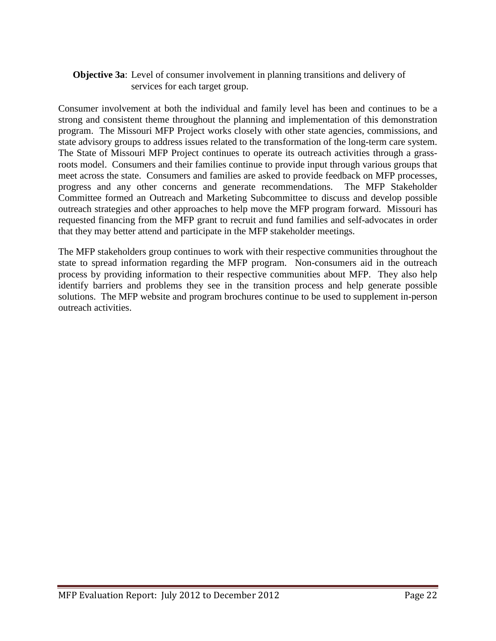#### **Objective 3a**: Level of consumer involvement in planning transitions and delivery of services for each target group.

Consumer involvement at both the individual and family level has been and continues to be a strong and consistent theme throughout the planning and implementation of this demonstration program. The Missouri MFP Project works closely with other state agencies, commissions, and state advisory groups to address issues related to the transformation of the long-term care system. The State of Missouri MFP Project continues to operate its outreach activities through a grassroots model. Consumers and their families continue to provide input through various groups that meet across the state. Consumers and families are asked to provide feedback on MFP processes, progress and any other concerns and generate recommendations. The MFP Stakeholder Committee formed an Outreach and Marketing Subcommittee to discuss and develop possible outreach strategies and other approaches to help move the MFP program forward. Missouri has requested financing from the MFP grant to recruit and fund families and self-advocates in order that they may better attend and participate in the MFP stakeholder meetings.

The MFP stakeholders group continues to work with their respective communities throughout the state to spread information regarding the MFP program. Non-consumers aid in the outreach process by providing information to their respective communities about MFP. They also help identify barriers and problems they see in the transition process and help generate possible solutions. The MFP website and program brochures continue to be used to supplement in-person outreach activities.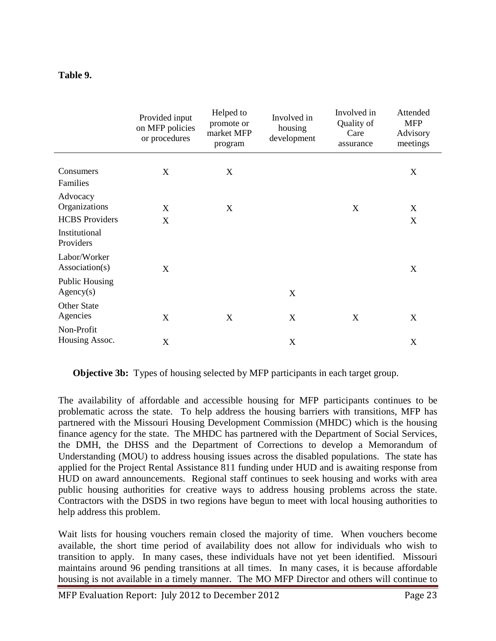#### **Table 9.**

|                                    | Provided input<br>on MFP policies<br>or procedures | Helped to<br>promote or<br>market MFP<br>program | Involved in<br>housing<br>development | Involved in<br>Quality of<br>Care<br>assurance | Attended<br><b>MFP</b><br>Advisory<br>meetings |
|------------------------------------|----------------------------------------------------|--------------------------------------------------|---------------------------------------|------------------------------------------------|------------------------------------------------|
| Consumers<br>Families              | X                                                  | X                                                |                                       |                                                | X                                              |
| Advocacy<br>Organizations          | X                                                  | X                                                |                                       | X                                              | X                                              |
| <b>HCBS</b> Providers              | X                                                  |                                                  |                                       |                                                | X                                              |
| Institutional<br>Providers         |                                                    |                                                  |                                       |                                                |                                                |
| Labor/Worker<br>Association(s)     | X                                                  |                                                  |                                       |                                                | X                                              |
| <b>Public Housing</b><br>Agency(s) |                                                    |                                                  | X                                     |                                                |                                                |
| <b>Other State</b><br>Agencies     | X                                                  | X                                                | X                                     | X                                              | X                                              |
| Non-Profit<br>Housing Assoc.       | X                                                  |                                                  | X                                     |                                                | X                                              |

**Objective 3b:** Types of housing selected by MFP participants in each target group.

The availability of affordable and accessible housing for MFP participants continues to be problematic across the state. To help address the housing barriers with transitions, MFP has partnered with the Missouri Housing Development Commission (MHDC) which is the housing finance agency for the state. The MHDC has partnered with the Department of Social Services, the DMH, the DHSS and the Department of Corrections to develop a Memorandum of Understanding (MOU) to address housing issues across the disabled populations. The state has applied for the Project Rental Assistance 811 funding under HUD and is awaiting response from HUD on award announcements. Regional staff continues to seek housing and works with area public housing authorities for creative ways to address housing problems across the state. Contractors with the DSDS in two regions have begun to meet with local housing authorities to help address this problem.

Wait lists for housing vouchers remain closed the majority of time. When vouchers become available, the short time period of availability does not allow for individuals who wish to transition to apply. In many cases, these individuals have not yet been identified. Missouri maintains around 96 pending transitions at all times. In many cases, it is because affordable housing is not available in a timely manner. The MO MFP Director and others will continue to

MFP Evaluation Report: July 2012 to December 2012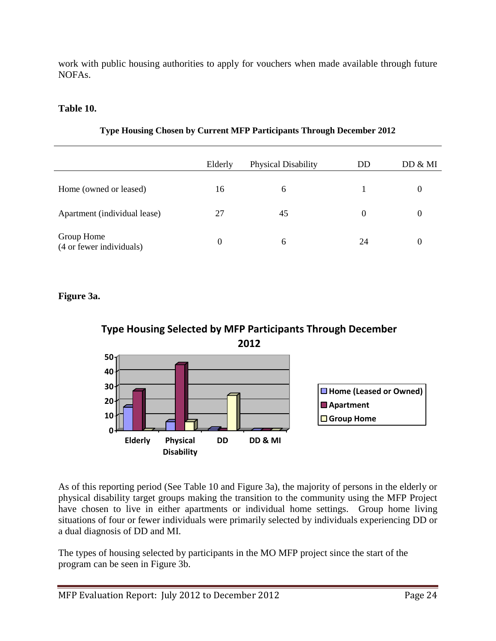work with public housing authorities to apply for vouchers when made available through future NOFAs.

#### **Table 10.**

|                                        | Elderly  | <b>Physical Disability</b> | DD       | DD & MI  |
|----------------------------------------|----------|----------------------------|----------|----------|
| Home (owned or leased)                 | 16       | 6                          |          | 0        |
| Apartment (individual lease)           | 27       | 45                         | $\Omega$ | $\theta$ |
| Group Home<br>(4 or fewer individuals) | $\Omega$ | 6                          | 24       | $\theta$ |

#### **Type Housing Chosen by Current MFP Participants Through December 2012**

**Figure 3a.** 





As of this reporting period (See Table 10 and Figure 3a), the majority of persons in the elderly or physical disability target groups making the transition to the community using the MFP Project have chosen to live in either apartments or individual home settings. Group home living situations of four or fewer individuals were primarily selected by individuals experiencing DD or a dual diagnosis of DD and MI.

The types of housing selected by participants in the MO MFP project since the start of the program can be seen in Figure 3b.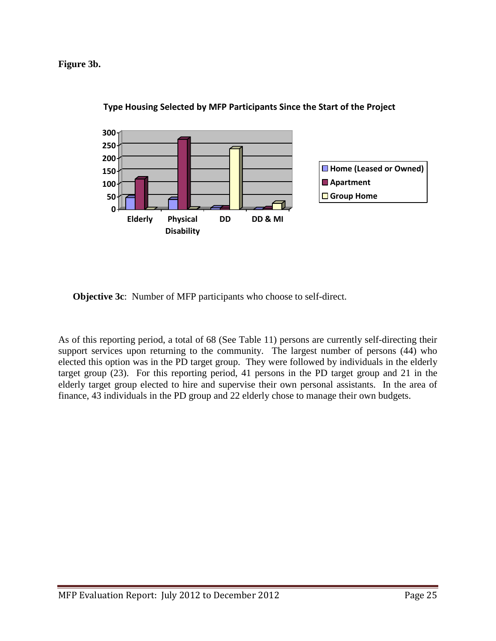**Figure 3b.** 



**Type Housing Selected by MFP Participants Since the Start of the Project**

**Objective 3c**: Number of MFP participants who choose to self-direct.

As of this reporting period, a total of 68 (See Table 11) persons are currently self-directing their support services upon returning to the community. The largest number of persons (44) who elected this option was in the PD target group. They were followed by individuals in the elderly target group (23). For this reporting period, 41 persons in the PD target group and 21 in the elderly target group elected to hire and supervise their own personal assistants. In the area of finance, 43 individuals in the PD group and 22 elderly chose to manage their own budgets.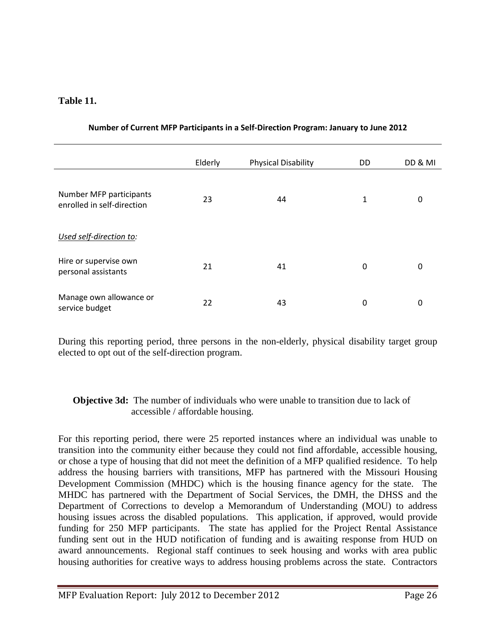#### **Table 11.**

|                                                       | Elderly | <b>Physical Disability</b> | DD | DD & MI |
|-------------------------------------------------------|---------|----------------------------|----|---------|
| Number MFP participants<br>enrolled in self-direction | 23      | 44                         | 1  | 0       |
| Used self-direction to:                               |         |                            |    |         |
| Hire or supervise own<br>personal assistants          | 21      | 41                         | 0  | 0       |
| Manage own allowance or<br>service budget             | 22      | 43                         | 0  | 0       |

#### **Number of Current MFP Participants in a Self-Direction Program: January to June 2012**

During this reporting period, three persons in the non-elderly, physical disability target group elected to opt out of the self-direction program.

#### **Objective 3d:** The number of individuals who were unable to transition due to lack of accessible / affordable housing.

For this reporting period, there were 25 reported instances where an individual was unable to transition into the community either because they could not find affordable, accessible housing, or chose a type of housing that did not meet the definition of a MFP qualified residence. To help address the housing barriers with transitions, MFP has partnered with the Missouri Housing Development Commission (MHDC) which is the housing finance agency for the state. The MHDC has partnered with the Department of Social Services, the DMH, the DHSS and the Department of Corrections to develop a Memorandum of Understanding (MOU) to address housing issues across the disabled populations. This application, if approved, would provide funding for 250 MFP participants. The state has applied for the Project Rental Assistance funding sent out in the HUD notification of funding and is awaiting response from HUD on award announcements. Regional staff continues to seek housing and works with area public housing authorities for creative ways to address housing problems across the state. Contractors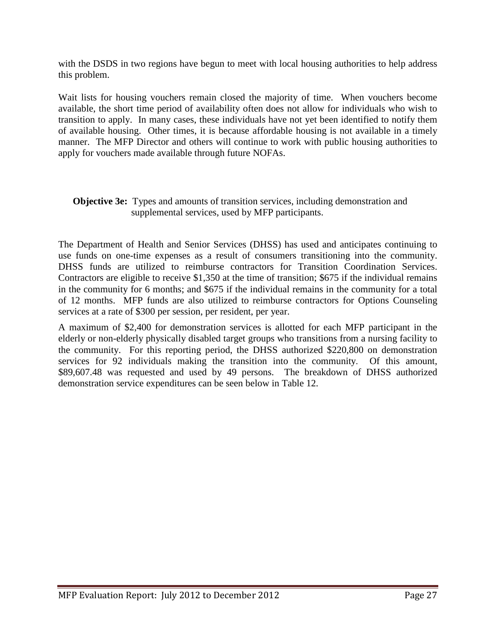with the DSDS in two regions have begun to meet with local housing authorities to help address this problem.

Wait lists for housing vouchers remain closed the majority of time. When vouchers become available, the short time period of availability often does not allow for individuals who wish to transition to apply. In many cases, these individuals have not yet been identified to notify them of available housing. Other times, it is because affordable housing is not available in a timely manner. The MFP Director and others will continue to work with public housing authorities to apply for vouchers made available through future NOFAs.

#### **Objective 3e:** Types and amounts of transition services, including demonstration and supplemental services, used by MFP participants.

The Department of Health and Senior Services (DHSS) has used and anticipates continuing to use funds on one-time expenses as a result of consumers transitioning into the community. DHSS funds are utilized to reimburse contractors for Transition Coordination Services. Contractors are eligible to receive \$1,350 at the time of transition; \$675 if the individual remains in the community for 6 months; and \$675 if the individual remains in the community for a total of 12 months. MFP funds are also utilized to reimburse contractors for Options Counseling services at a rate of \$300 per session, per resident, per year.

A maximum of \$2,400 for demonstration services is allotted for each MFP participant in the elderly or non-elderly physically disabled target groups who transitions from a nursing facility to the community. For this reporting period, the DHSS authorized \$220,800 on demonstration services for 92 individuals making the transition into the community. Of this amount, \$89,607.48 was requested and used by 49 persons. The breakdown of DHSS authorized demonstration service expenditures can be seen below in Table 12.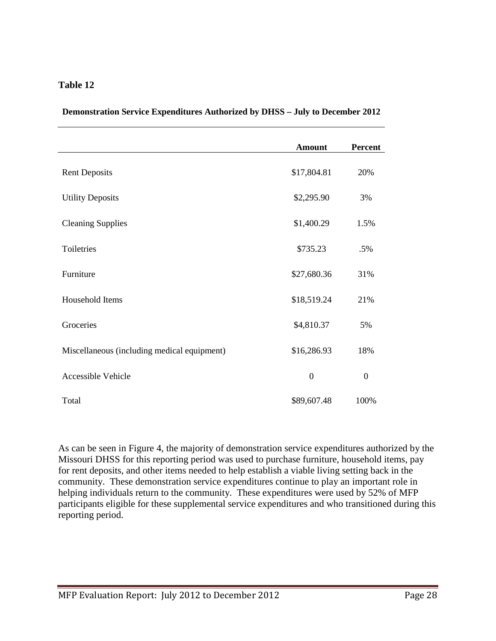#### **Table 12**

| Demonstration Service Expenditures Authorized by DHSS - July to December 2012 |  |  |  |  |
|-------------------------------------------------------------------------------|--|--|--|--|
|                                                                               |  |  |  |  |

|                                             | <b>Amount</b> | <b>Percent</b> |
|---------------------------------------------|---------------|----------------|
| <b>Rent Deposits</b>                        | \$17,804.81   | 20%            |
| <b>Utility Deposits</b>                     | \$2,295.90    | 3%             |
| <b>Cleaning Supplies</b>                    | \$1,400.29    | 1.5%           |
| Toiletries                                  | \$735.23      | .5%            |
| Furniture                                   | \$27,680.36   | 31%            |
| Household Items                             | \$18,519.24   | 21%            |
| Groceries                                   | \$4,810.37    | 5%             |
| Miscellaneous (including medical equipment) | \$16,286.93   | 18%            |
| Accessible Vehicle                          | $\mathbf{0}$  | $\mathbf{0}$   |
| Total                                       | \$89,607.48   | 100%           |

As can be seen in Figure 4, the majority of demonstration service expenditures authorized by the Missouri DHSS for this reporting period was used to purchase furniture, household items, pay for rent deposits, and other items needed to help establish a viable living setting back in the community. These demonstration service expenditures continue to play an important role in helping individuals return to the community. These expenditures were used by 52% of MFP participants eligible for these supplemental service expenditures and who transitioned during this reporting period.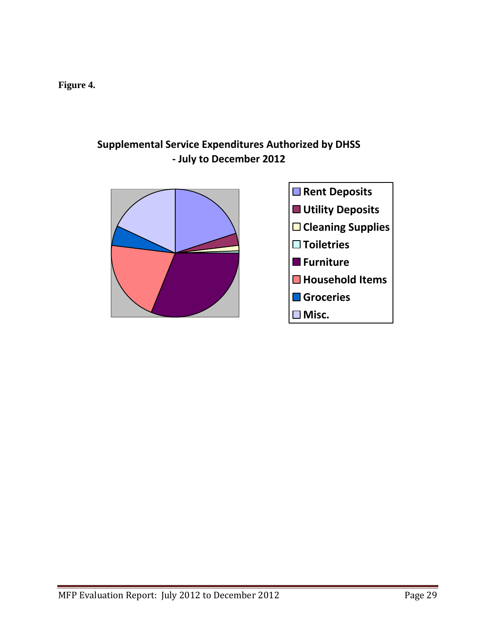**Figure 4.** 

### **Supplemental Service Expenditures Authorized by DHSS - July to December 2012**

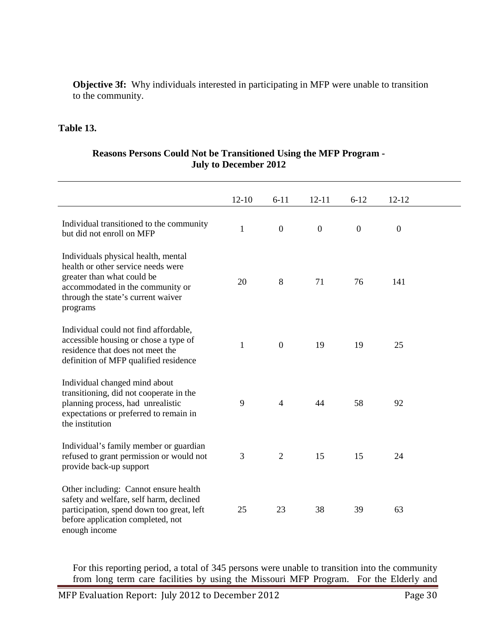**Objective 3f:** Why individuals interested in participating in MFP were unable to transition to the community.

#### **Table 13.**

#### **Reasons Persons Could Not be Transitioned Using the MFP Program - July to December 2012**

|                                                                                                                                                                                               | $12 - 10$    | $6 - 11$       | $12 - 11$        | $6 - 12$     | $12 - 12$        |  |
|-----------------------------------------------------------------------------------------------------------------------------------------------------------------------------------------------|--------------|----------------|------------------|--------------|------------------|--|
| Individual transitioned to the community<br>but did not enroll on MFP                                                                                                                         | $\mathbf{1}$ | $\mathbf{0}$   | $\boldsymbol{0}$ | $\mathbf{0}$ | $\boldsymbol{0}$ |  |
| Individuals physical health, mental<br>health or other service needs were<br>greater than what could be<br>accommodated in the community or<br>through the state's current waiver<br>programs | 20           | 8              | 71               | 76           | 141              |  |
| Individual could not find affordable,<br>accessible housing or chose a type of<br>residence that does not meet the<br>definition of MFP qualified residence                                   | 1            | $\overline{0}$ | 19               | 19           | 25               |  |
| Individual changed mind about<br>transitioning, did not cooperate in the<br>planning process, had unrealistic<br>expectations or preferred to remain in<br>the institution                    | 9            | $\overline{4}$ | 44               | 58           | 92               |  |
| Individual's family member or guardian<br>refused to grant permission or would not<br>provide back-up support                                                                                 | 3            | $\overline{2}$ | 15               | 15           | 24               |  |
| Other including: Cannot ensure health<br>safety and welfare, self harm, declined<br>participation, spend down too great, left<br>before application completed, not<br>enough income           | 25           | 23             | 38               | 39           | 63               |  |

For this reporting period, a total of 345 persons were unable to transition into the community from long term care facilities by using the Missouri MFP Program. For the Elderly and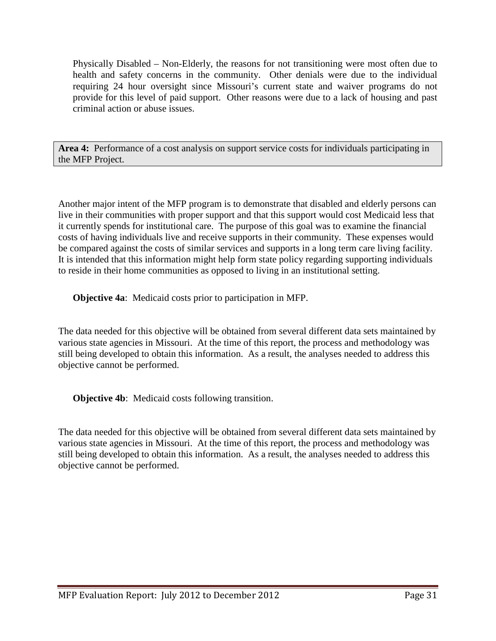Physically Disabled – Non-Elderly, the reasons for not transitioning were most often due to health and safety concerns in the community. Other denials were due to the individual requiring 24 hour oversight since Missouri's current state and waiver programs do not provide for this level of paid support. Other reasons were due to a lack of housing and past criminal action or abuse issues.

**Area 4:** Performance of a cost analysis on support service costs for individuals participating in the MFP Project.

Another major intent of the MFP program is to demonstrate that disabled and elderly persons can live in their communities with proper support and that this support would cost Medicaid less that it currently spends for institutional care. The purpose of this goal was to examine the financial costs of having individuals live and receive supports in their community. These expenses would be compared against the costs of similar services and supports in a long term care living facility. It is intended that this information might help form state policy regarding supporting individuals to reside in their home communities as opposed to living in an institutional setting.

**Objective 4a**: Medicaid costs prior to participation in MFP.

The data needed for this objective will be obtained from several different data sets maintained by various state agencies in Missouri. At the time of this report, the process and methodology was still being developed to obtain this information. As a result, the analyses needed to address this objective cannot be performed.

**Objective 4b**: Medicaid costs following transition.

The data needed for this objective will be obtained from several different data sets maintained by various state agencies in Missouri. At the time of this report, the process and methodology was still being developed to obtain this information. As a result, the analyses needed to address this objective cannot be performed.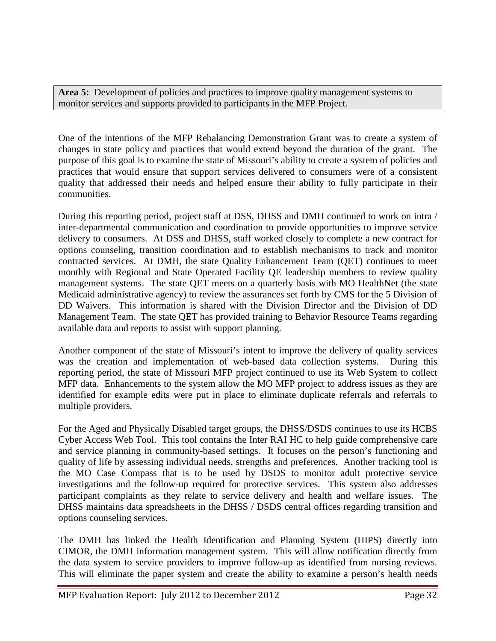Area 5: Development of policies and practices to improve quality management systems to monitor services and supports provided to participants in the MFP Project.

One of the intentions of the MFP Rebalancing Demonstration Grant was to create a system of changes in state policy and practices that would extend beyond the duration of the grant. The purpose of this goal is to examine the state of Missouri's ability to create a system of policies and practices that would ensure that support services delivered to consumers were of a consistent quality that addressed their needs and helped ensure their ability to fully participate in their communities.

During this reporting period, project staff at DSS, DHSS and DMH continued to work on intra / inter-departmental communication and coordination to provide opportunities to improve service delivery to consumers. At DSS and DHSS, staff worked closely to complete a new contract for options counseling, transition coordination and to establish mechanisms to track and monitor contracted services. At DMH, the state Quality Enhancement Team (QET) continues to meet monthly with Regional and State Operated Facility QE leadership members to review quality management systems. The state QET meets on a quarterly basis with MO HealthNet (the state Medicaid administrative agency) to review the assurances set forth by CMS for the 5 Division of DD Waivers. This information is shared with the Division Director and the Division of DD Management Team. The state QET has provided training to Behavior Resource Teams regarding available data and reports to assist with support planning.

Another component of the state of Missouri's intent to improve the delivery of quality services was the creation and implementation of web-based data collection systems. During this reporting period, the state of Missouri MFP project continued to use its Web System to collect MFP data. Enhancements to the system allow the MO MFP project to address issues as they are identified for example edits were put in place to eliminate duplicate referrals and referrals to multiple providers.

For the Aged and Physically Disabled target groups, the DHSS/DSDS continues to use its HCBS Cyber Access Web Tool. This tool contains the Inter RAI HC to help guide comprehensive care and service planning in community-based settings. It focuses on the person's functioning and quality of life by assessing individual needs, strengths and preferences. Another tracking tool is the MO Case Compass that is to be used by DSDS to monitor adult protective service investigations and the follow-up required for protective services. This system also addresses participant complaints as they relate to service delivery and health and welfare issues. The DHSS maintains data spreadsheets in the DHSS / DSDS central offices regarding transition and options counseling services.

The DMH has linked the Health Identification and Planning System (HIPS) directly into CIMOR, the DMH information management system. This will allow notification directly from the data system to service providers to improve follow-up as identified from nursing reviews. This will eliminate the paper system and create the ability to examine a person's health needs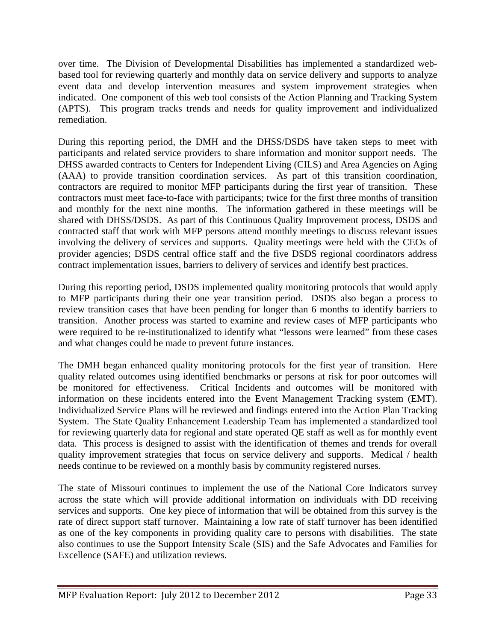over time. The Division of Developmental Disabilities has implemented a standardized webbased tool for reviewing quarterly and monthly data on service delivery and supports to analyze event data and develop intervention measures and system improvement strategies when indicated. One component of this web tool consists of the Action Planning and Tracking System (APTS). This program tracks trends and needs for quality improvement and individualized remediation.

During this reporting period, the DMH and the DHSS/DSDS have taken steps to meet with participants and related service providers to share information and monitor support needs. The DHSS awarded contracts to Centers for Independent Living (CILS) and Area Agencies on Aging (AAA) to provide transition coordination services. As part of this transition coordination, contractors are required to monitor MFP participants during the first year of transition. These contractors must meet face-to-face with participants; twice for the first three months of transition and monthly for the next nine months. The information gathered in these meetings will be shared with DHSS/DSDS. As part of this Continuous Quality Improvement process, DSDS and contracted staff that work with MFP persons attend monthly meetings to discuss relevant issues involving the delivery of services and supports. Quality meetings were held with the CEOs of provider agencies; DSDS central office staff and the five DSDS regional coordinators address contract implementation issues, barriers to delivery of services and identify best practices.

During this reporting period, DSDS implemented quality monitoring protocols that would apply to MFP participants during their one year transition period. DSDS also began a process to review transition cases that have been pending for longer than 6 months to identify barriers to transition. Another process was started to examine and review cases of MFP participants who were required to be re-institutionalized to identify what "lessons were learned" from these cases and what changes could be made to prevent future instances.

The DMH began enhanced quality monitoring protocols for the first year of transition. Here quality related outcomes using identified benchmarks or persons at risk for poor outcomes will be monitored for effectiveness. Critical Incidents and outcomes will be monitored with information on these incidents entered into the Event Management Tracking system (EMT). Individualized Service Plans will be reviewed and findings entered into the Action Plan Tracking System. The State Quality Enhancement Leadership Team has implemented a standardized tool for reviewing quarterly data for regional and state operated QE staff as well as for monthly event data. This process is designed to assist with the identification of themes and trends for overall quality improvement strategies that focus on service delivery and supports. Medical / health needs continue to be reviewed on a monthly basis by community registered nurses.

The state of Missouri continues to implement the use of the National Core Indicators survey across the state which will provide additional information on individuals with DD receiving services and supports. One key piece of information that will be obtained from this survey is the rate of direct support staff turnover. Maintaining a low rate of staff turnover has been identified as one of the key components in providing quality care to persons with disabilities. The state also continues to use the Support Intensity Scale (SIS) and the Safe Advocates and Families for Excellence (SAFE) and utilization reviews.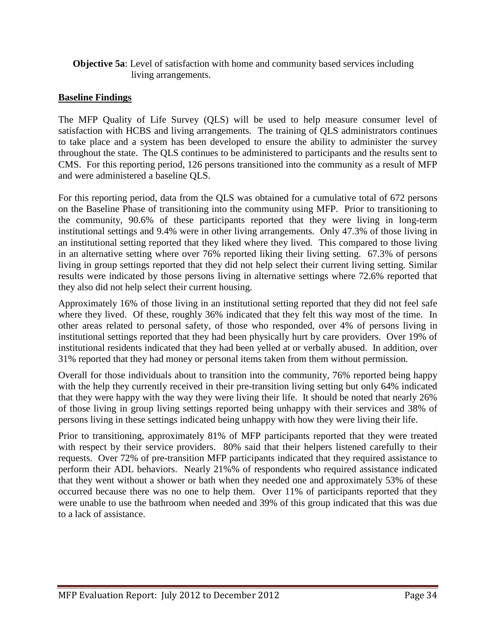#### **Objective 5a**: Level of satisfaction with home and community based services including living arrangements.

#### **Baseline Findings**

The MFP Quality of Life Survey (QLS) will be used to help measure consumer level of satisfaction with HCBS and living arrangements. The training of QLS administrators continues to take place and a system has been developed to ensure the ability to administer the survey throughout the state. The QLS continues to be administered to participants and the results sent to CMS. For this reporting period, 126 persons transitioned into the community as a result of MFP and were administered a baseline QLS.

For this reporting period, data from the QLS was obtained for a cumulative total of 672 persons on the Baseline Phase of transitioning into the community using MFP. Prior to transitioning to the community, 90.6% of these participants reported that they were living in long-term institutional settings and 9.4% were in other living arrangements. Only 47.3% of those living in an institutional setting reported that they liked where they lived. This compared to those living in an alternative setting where over 76% reported liking their living setting. 67.3% of persons living in group settings reported that they did not help select their current living setting. Similar results were indicated by those persons living in alternative settings where 72.6% reported that they also did not help select their current housing.

Approximately 16% of those living in an institutional setting reported that they did not feel safe where they lived. Of these, roughly 36% indicated that they felt this way most of the time. In other areas related to personal safety, of those who responded, over 4% of persons living in institutional settings reported that they had been physically hurt by care providers. Over 19% of institutional residents indicated that they had been yelled at or verbally abused. In addition, over 31% reported that they had money or personal items taken from them without permission.

Overall for those individuals about to transition into the community, 76% reported being happy with the help they currently received in their pre-transition living setting but only 64% indicated that they were happy with the way they were living their life. It should be noted that nearly 26% of those living in group living settings reported being unhappy with their services and 38% of persons living in these settings indicated being unhappy with how they were living their life.

Prior to transitioning, approximately 81% of MFP participants reported that they were treated with respect by their service providers. 80% said that their helpers listened carefully to their requests. Over 72% of pre-transition MFP participants indicated that they required assistance to perform their ADL behaviors. Nearly 21%% of respondents who required assistance indicated that they went without a shower or bath when they needed one and approximately 53% of these occurred because there was no one to help them. Over 11% of participants reported that they were unable to use the bathroom when needed and 39% of this group indicated that this was due to a lack of assistance.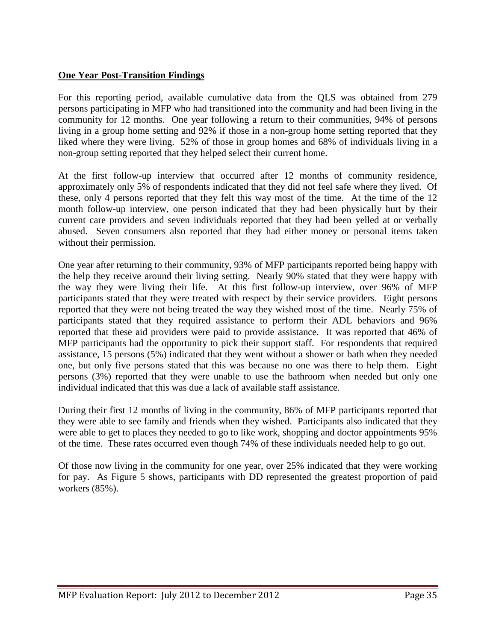#### **One Year Post-Transition Findings**

For this reporting period, available cumulative data from the QLS was obtained from 279 persons participating in MFP who had transitioned into the community and had been living in the community for 12 months. One year following a return to their communities, 94% of persons living in a group home setting and 92% if those in a non-group home setting reported that they liked where they were living. 52% of those in group homes and 68% of individuals living in a non-group setting reported that they helped select their current home.

At the first follow-up interview that occurred after 12 months of community residence, approximately only 5% of respondents indicated that they did not feel safe where they lived. Of these, only 4 persons reported that they felt this way most of the time. At the time of the 12 month follow-up interview, one person indicated that they had been physically hurt by their current care providers and seven individuals reported that they had been yelled at or verbally abused. Seven consumers also reported that they had either money or personal items taken without their permission.

One year after returning to their community, 93% of MFP participants reported being happy with the help they receive around their living setting. Nearly 90% stated that they were happy with the way they were living their life. At this first follow-up interview, over 96% of MFP participants stated that they were treated with respect by their service providers. Eight persons reported that they were not being treated the way they wished most of the time. Nearly 75% of participants stated that they required assistance to perform their ADL behaviors and 96% reported that these aid providers were paid to provide assistance. It was reported that 46% of MFP participants had the opportunity to pick their support staff. For respondents that required assistance, 15 persons (5%) indicated that they went without a shower or bath when they needed one, but only five persons stated that this was because no one was there to help them. Eight persons (3%) reported that they were unable to use the bathroom when needed but only one individual indicated that this was due a lack of available staff assistance.

During their first 12 months of living in the community, 86% of MFP participants reported that they were able to see family and friends when they wished. Participants also indicated that they were able to get to places they needed to go to like work, shopping and doctor appointments 95% of the time. These rates occurred even though 74% of these individuals needed help to go out.

Of those now living in the community for one year, over 25% indicated that they were working for pay. As Figure 5 shows, participants with DD represented the greatest proportion of paid workers (85%).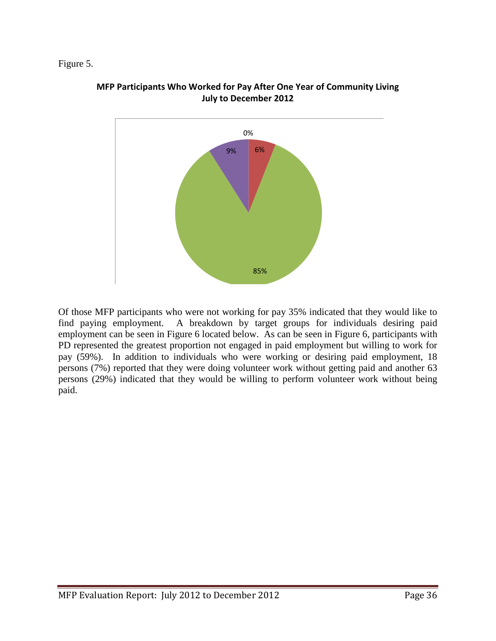#### Figure 5.



#### **MFP Participants Who Worked for Pay After One Year of Community Living July to December 2012**

Of those MFP participants who were not working for pay 35% indicated that they would like to find paying employment. A breakdown by target groups for individuals desiring paid employment can be seen in Figure 6 located below. As can be seen in Figure 6, participants with PD represented the greatest proportion not engaged in paid employment but willing to work for pay (59%). In addition to individuals who were working or desiring paid employment, 18 persons (7%) reported that they were doing volunteer work without getting paid and another 63 persons (29%) indicated that they would be willing to perform volunteer work without being paid.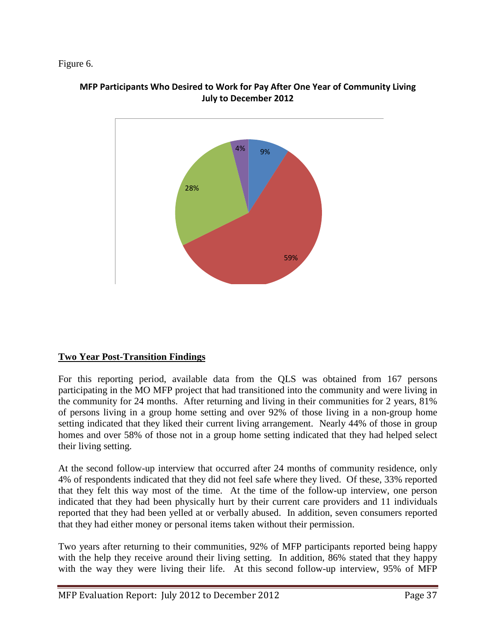#### Figure 6.



#### **MFP Participants Who Desired to Work for Pay After One Year of Community Living July to December 2012**

#### **Two Year Post-Transition Findings**

For this reporting period, available data from the QLS was obtained from 167 persons participating in the MO MFP project that had transitioned into the community and were living in the community for 24 months. After returning and living in their communities for 2 years, 81% of persons living in a group home setting and over 92% of those living in a non-group home setting indicated that they liked their current living arrangement. Nearly 44% of those in group homes and over 58% of those not in a group home setting indicated that they had helped select their living setting.

At the second follow-up interview that occurred after 24 months of community residence, only 4% of respondents indicated that they did not feel safe where they lived. Of these, 33% reported that they felt this way most of the time. At the time of the follow-up interview, one person indicated that they had been physically hurt by their current care providers and 11 individuals reported that they had been yelled at or verbally abused. In addition, seven consumers reported that they had either money or personal items taken without their permission.

Two years after returning to their communities, 92% of MFP participants reported being happy with the help they receive around their living setting. In addition, 86% stated that they happy with the way they were living their life. At this second follow-up interview, 95% of MFP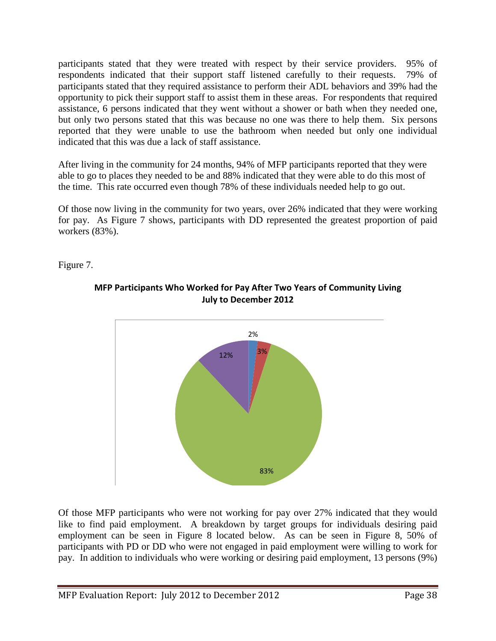participants stated that they were treated with respect by their service providers. 95% of respondents indicated that their support staff listened carefully to their requests. 79% of participants stated that they required assistance to perform their ADL behaviors and 39% had the opportunity to pick their support staff to assist them in these areas. For respondents that required assistance, 6 persons indicated that they went without a shower or bath when they needed one, but only two persons stated that this was because no one was there to help them. Six persons reported that they were unable to use the bathroom when needed but only one individual indicated that this was due a lack of staff assistance.

After living in the community for 24 months, 94% of MFP participants reported that they were able to go to places they needed to be and 88% indicated that they were able to do this most of the time. This rate occurred even though 78% of these individuals needed help to go out.

Of those now living in the community for two years, over 26% indicated that they were working for pay. As Figure 7 shows, participants with DD represented the greatest proportion of paid workers (83%).

Figure 7.



**MFP Participants Who Worked for Pay After Two Years of Community Living July to December 2012** 

Of those MFP participants who were not working for pay over 27% indicated that they would like to find paid employment. A breakdown by target groups for individuals desiring paid employment can be seen in Figure 8 located below. As can be seen in Figure 8, 50% of participants with PD or DD who were not engaged in paid employment were willing to work for pay. In addition to individuals who were working or desiring paid employment, 13 persons (9%)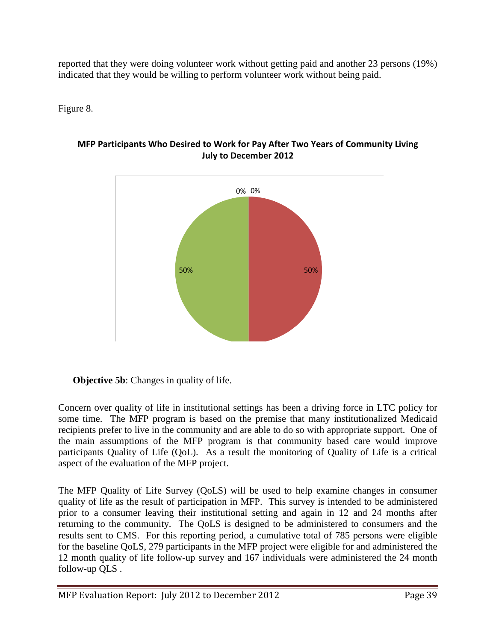reported that they were doing volunteer work without getting paid and another 23 persons (19%) indicated that they would be willing to perform volunteer work without being paid.

Figure 8.



**MFP Participants Who Desired to Work for Pay After Two Years of Community Living July to December 2012** 

Concern over quality of life in institutional settings has been a driving force in LTC policy for some time. The MFP program is based on the premise that many institutionalized Medicaid recipients prefer to live in the community and are able to do so with appropriate support. One of the main assumptions of the MFP program is that community based care would improve participants Quality of Life (QoL). As a result the monitoring of Quality of Life is a critical aspect of the evaluation of the MFP project.

The MFP Quality of Life Survey (QoLS) will be used to help examine changes in consumer quality of life as the result of participation in MFP. This survey is intended to be administered prior to a consumer leaving their institutional setting and again in 12 and 24 months after returning to the community. The QoLS is designed to be administered to consumers and the results sent to CMS. For this reporting period, a cumulative total of 785 persons were eligible for the baseline QoLS, 279 participants in the MFP project were eligible for and administered the 12 month quality of life follow-up survey and 167 individuals were administered the 24 month follow-up QLS .

**Objective 5b:** Changes in quality of life.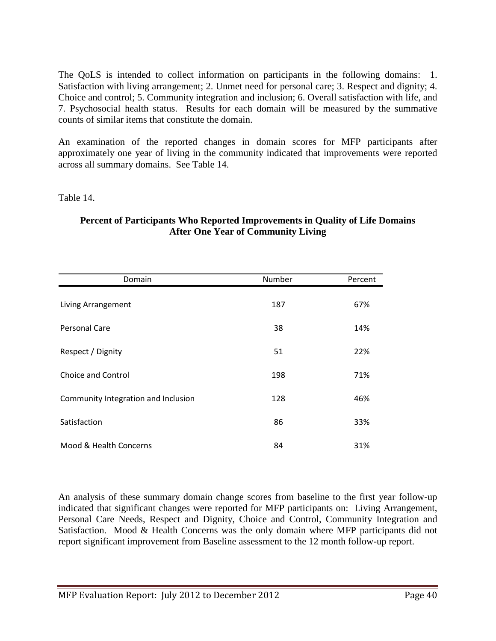The QoLS is intended to collect information on participants in the following domains: 1. Satisfaction with living arrangement; 2. Unmet need for personal care; 3. Respect and dignity; 4. Choice and control; 5. Community integration and inclusion; 6. Overall satisfaction with life, and 7. Psychosocial health status. Results for each domain will be measured by the summative counts of similar items that constitute the domain.

An examination of the reported changes in domain scores for MFP participants after approximately one year of living in the community indicated that improvements were reported across all summary domains. See Table 14.

Table 14.

| Domain                              | Number | Percent |
|-------------------------------------|--------|---------|
| Living Arrangement                  | 187    | 67%     |
| Personal Care                       | 38     | 14%     |
| Respect / Dignity                   | 51     | 22%     |
| Choice and Control                  | 198    | 71%     |
| Community Integration and Inclusion | 128    | 46%     |
| Satisfaction                        | 86     | 33%     |
| Mood & Health Concerns              | 84     | 31%     |

#### **Percent of Participants Who Reported Improvements in Quality of Life Domains After One Year of Community Living**

An analysis of these summary domain change scores from baseline to the first year follow-up indicated that significant changes were reported for MFP participants on: Living Arrangement, Personal Care Needs, Respect and Dignity, Choice and Control, Community Integration and Satisfaction. Mood & Health Concerns was the only domain where MFP participants did not report significant improvement from Baseline assessment to the 12 month follow-up report.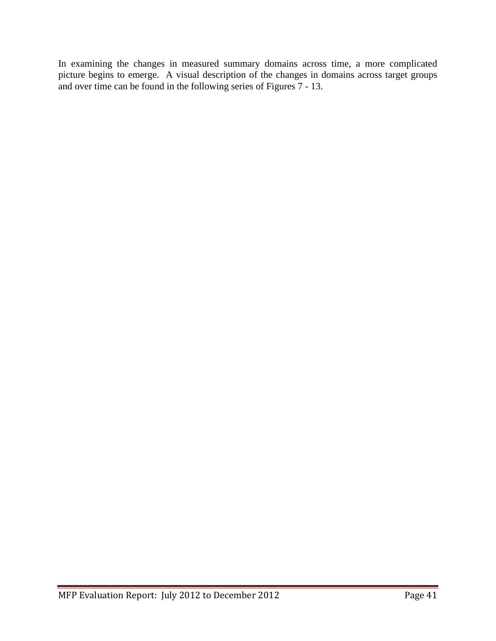In examining the changes in measured summary domains across time, a more complicated picture begins to emerge. A visual description of the changes in domains across target groups and over time can be found in the following series of Figures 7 - 13.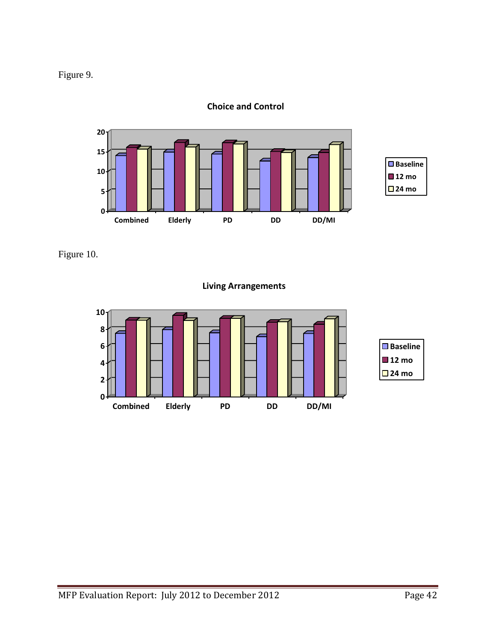



**Choice and Control**

Figure 10.

**Living Arrangements**

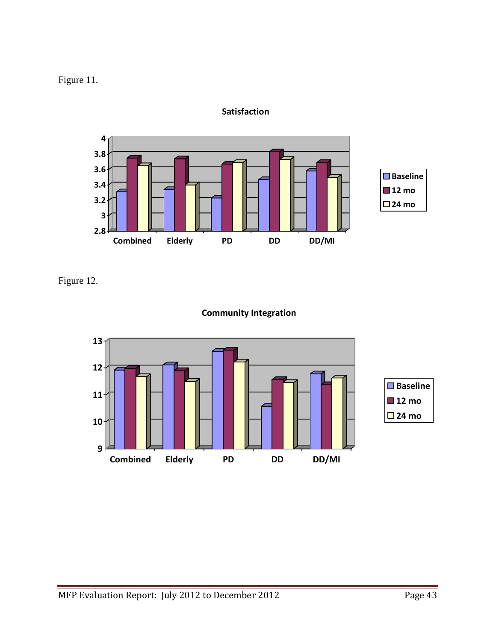

**Satisfaction**

Figure 12.



#### **Community Integration**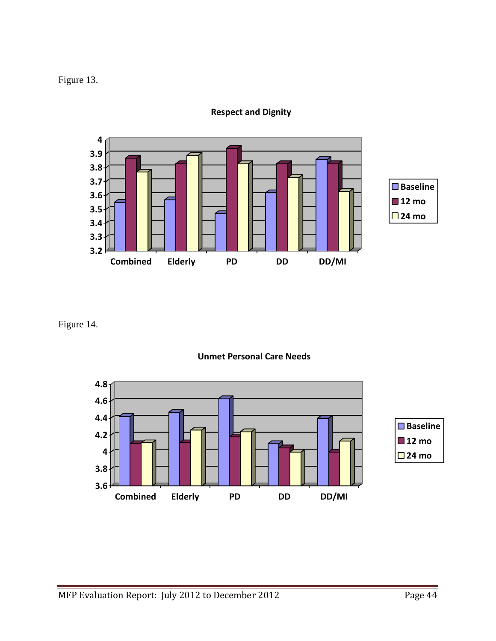Figure 13.



**Respect and Dignity**

Figure 14.



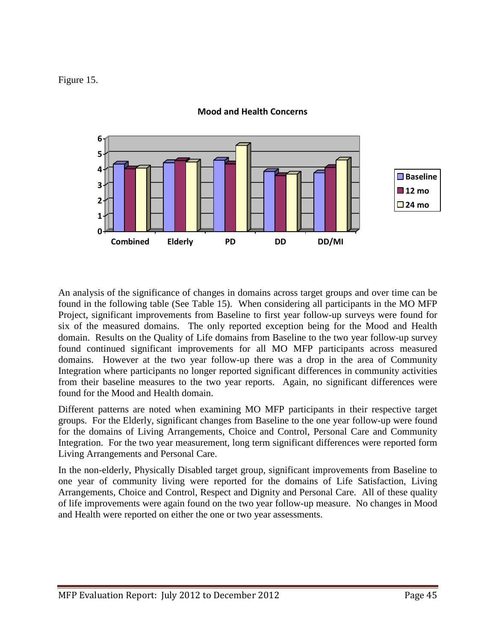#### Figure 15.



#### **Mood and Health Concerns**

An analysis of the significance of changes in domains across target groups and over time can be found in the following table (See Table 15). When considering all participants in the MO MFP Project, significant improvements from Baseline to first year follow-up surveys were found for six of the measured domains. The only reported exception being for the Mood and Health domain. Results on the Quality of Life domains from Baseline to the two year follow-up survey found continued significant improvements for all MO MFP participants across measured domains. However at the two year follow-up there was a drop in the area of Community Integration where participants no longer reported significant differences in community activities from their baseline measures to the two year reports. Again, no significant differences were found for the Mood and Health domain.

Different patterns are noted when examining MO MFP participants in their respective target groups. For the Elderly, significant changes from Baseline to the one year follow-up were found for the domains of Living Arrangements, Choice and Control, Personal Care and Community Integration. For the two year measurement, long term significant differences were reported form Living Arrangements and Personal Care.

In the non-elderly, Physically Disabled target group, significant improvements from Baseline to one year of community living were reported for the domains of Life Satisfaction, Living Arrangements, Choice and Control, Respect and Dignity and Personal Care. All of these quality of life improvements were again found on the two year follow-up measure. No changes in Mood and Health were reported on either the one or two year assessments.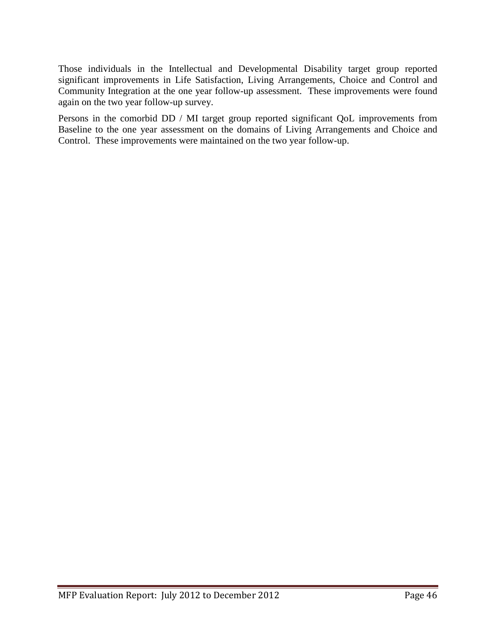Those individuals in the Intellectual and Developmental Disability target group reported significant improvements in Life Satisfaction, Living Arrangements, Choice and Control and Community Integration at the one year follow-up assessment. These improvements were found again on the two year follow-up survey.

Persons in the comorbid DD / MI target group reported significant QoL improvements from Baseline to the one year assessment on the domains of Living Arrangements and Choice and Control. These improvements were maintained on the two year follow-up.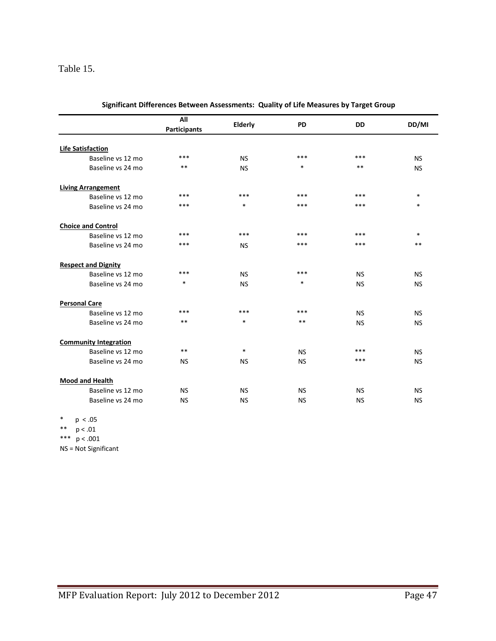#### Table 15.

|                              | All<br><b>Participants</b> | Elderly   | PD        | <b>DD</b> | DD/MI     |
|------------------------------|----------------------------|-----------|-----------|-----------|-----------|
|                              |                            |           |           |           |           |
| <b>Life Satisfaction</b>     |                            |           |           |           |           |
| Baseline vs 12 mo            | ***                        | <b>NS</b> | ***       | ***       | <b>NS</b> |
| Baseline vs 24 mo            | $***$                      | <b>NS</b> | $\ast$    | **        | <b>NS</b> |
| <b>Living Arrangement</b>    |                            |           |           |           |           |
| Baseline vs 12 mo            | $***$                      | ***       | ***       | ***       | $\ast$    |
| Baseline vs 24 mo            | ***                        | $\ast$    | ***       | ***       | $\ast$    |
| <b>Choice and Control</b>    |                            |           |           |           |           |
| Baseline vs 12 mo            | ***                        | ***       | ***       | ***       | $\ast$    |
| Baseline vs 24 mo            | ***                        | <b>NS</b> | ***       | ***       | $**$      |
| <b>Respect and Dignity</b>   |                            |           |           |           |           |
| Baseline vs 12 mo            | ***                        | <b>NS</b> | ***       | <b>NS</b> | <b>NS</b> |
| Baseline vs 24 mo            | *                          | <b>NS</b> | $\ast$    | <b>NS</b> | <b>NS</b> |
| <b>Personal Care</b>         |                            |           |           |           |           |
| Baseline vs 12 mo            | ***                        | ***       | ***       | <b>NS</b> | <b>NS</b> |
| Baseline vs 24 mo            | $***$                      | $\ast$    | $***$     | <b>NS</b> | <b>NS</b> |
| <b>Community Integration</b> |                            |           |           |           |           |
| Baseline vs 12 mo            | $***$                      | $\ast$    | <b>NS</b> | ***       | <b>NS</b> |
| Baseline vs 24 mo            | <b>NS</b>                  | <b>NS</b> | <b>NS</b> | ***       | <b>NS</b> |
| <b>Mood and Health</b>       |                            |           |           |           |           |
| Baseline vs 12 mo            | <b>NS</b>                  | <b>NS</b> | <b>NS</b> | <b>NS</b> | <b>NS</b> |
| Baseline vs 24 mo            | <b>NS</b>                  | <b>NS</b> | <b>NS</b> | <b>NS</b> | <b>NS</b> |

| Significant Differences Between Assessments: Quality of Life Measures by Target Group |  |
|---------------------------------------------------------------------------------------|--|
|---------------------------------------------------------------------------------------|--|

\* p < .05 \*\* p < .01

\*\*\* p < .001

NS = Not Significant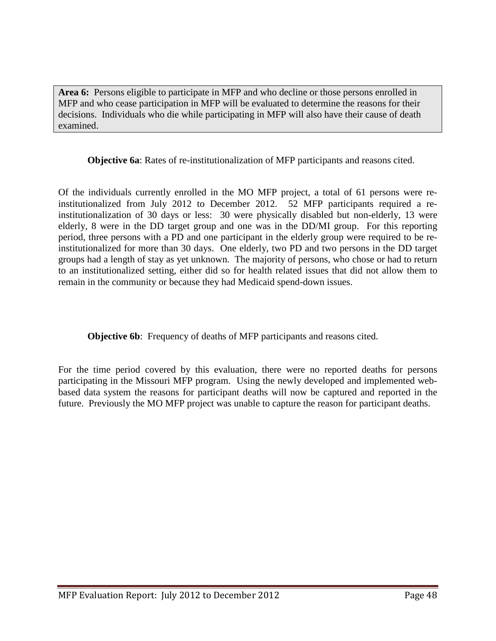**Area 6:** Persons eligible to participate in MFP and who decline or those persons enrolled in MFP and who cease participation in MFP will be evaluated to determine the reasons for their decisions. Individuals who die while participating in MFP will also have their cause of death examined.

**Objective 6a**: Rates of re-institutionalization of MFP participants and reasons cited.

Of the individuals currently enrolled in the MO MFP project, a total of 61 persons were reinstitutionalized from July 2012 to December 2012. 52 MFP participants required a reinstitutionalization of 30 days or less: 30 were physically disabled but non-elderly, 13 were elderly, 8 were in the DD target group and one was in the DD/MI group. For this reporting period, three persons with a PD and one participant in the elderly group were required to be reinstitutionalized for more than 30 days. One elderly, two PD and two persons in the DD target groups had a length of stay as yet unknown. The majority of persons, who chose or had to return to an institutionalized setting, either did so for health related issues that did not allow them to remain in the community or because they had Medicaid spend-down issues.

**Objective 6b:** Frequency of deaths of MFP participants and reasons cited.

For the time period covered by this evaluation, there were no reported deaths for persons participating in the Missouri MFP program. Using the newly developed and implemented webbased data system the reasons for participant deaths will now be captured and reported in the future. Previously the MO MFP project was unable to capture the reason for participant deaths.